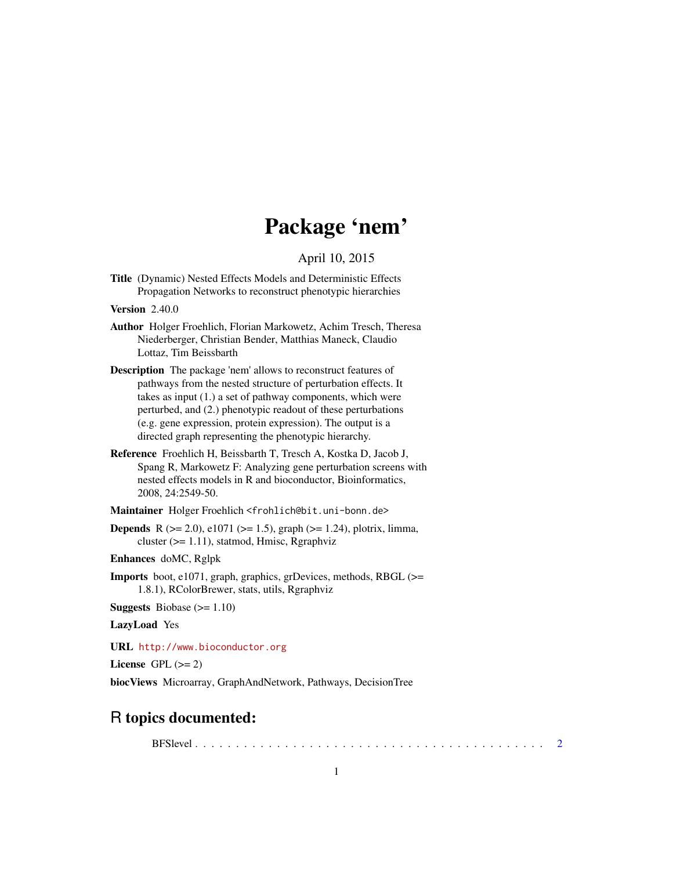## Package 'nem'

April 10, 2015

<span id="page-0-0"></span>Title (Dynamic) Nested Effects Models and Deterministic Effects Propagation Networks to reconstruct phenotypic hierarchies

Version 2.40.0

- Author Holger Froehlich, Florian Markowetz, Achim Tresch, Theresa Niederberger, Christian Bender, Matthias Maneck, Claudio Lottaz, Tim Beissbarth
- Description The package 'nem' allows to reconstruct features of pathways from the nested structure of perturbation effects. It takes as input (1.) a set of pathway components, which were perturbed, and (2.) phenotypic readout of these perturbations (e.g. gene expression, protein expression). The output is a directed graph representing the phenotypic hierarchy.
- Reference Froehlich H, Beissbarth T, Tresch A, Kostka D, Jacob J, Spang R, Markowetz F: Analyzing gene perturbation screens with nested effects models in R and bioconductor, Bioinformatics, 2008, 24:2549-50.

Maintainer Holger Froehlich <frohlich@bit.uni-bonn.de>

**Depends** R ( $>= 2.0$ ), e1071 ( $>= 1.5$ ), graph ( $>= 1.24$ ), plotrix, limma, cluster (>= 1.11), statmod, Hmisc, Rgraphviz

Enhances doMC, Rglpk

Imports boot, e1071, graph, graphics, grDevices, methods, RBGL (>= 1.8.1), RColorBrewer, stats, utils, Rgraphviz

**Suggests** Biobase  $(>= 1.10)$ 

LazyLoad Yes

URL <http://www.bioconductor.org>

License GPL  $(>= 2)$ 

biocViews Microarray, GraphAndNetwork, Pathways, DecisionTree

## R topics documented:

BFSlevel . . . . . . . . . . . . . . . . . . . . . . . . . . . . . . . . . . . . . . . . . . . [2](#page-1-0)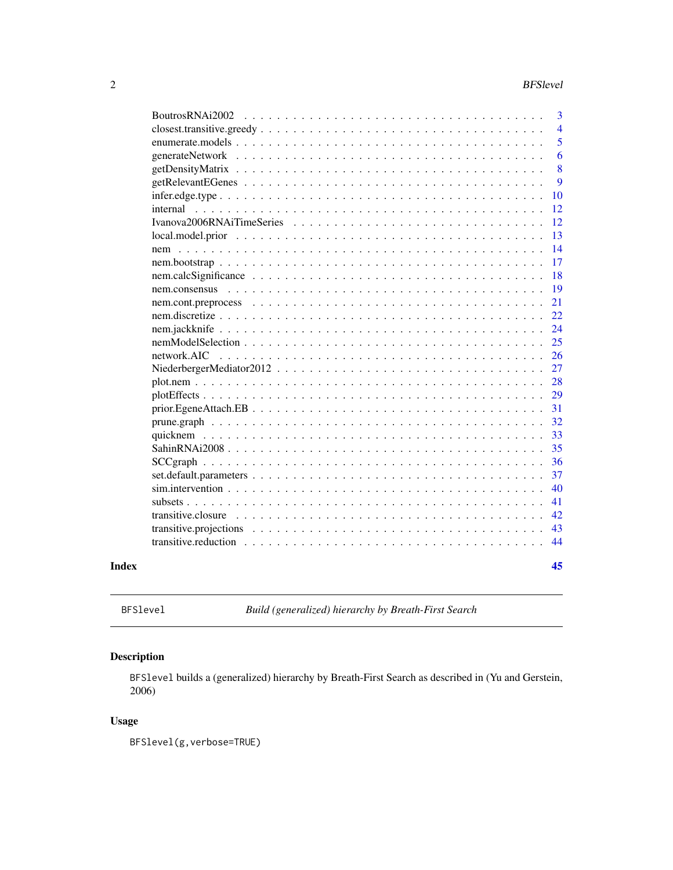<span id="page-1-0"></span>

|       |                                                                                                                    | 3              |
|-------|--------------------------------------------------------------------------------------------------------------------|----------------|
|       |                                                                                                                    | $\overline{4}$ |
|       |                                                                                                                    | 5              |
|       |                                                                                                                    | 6              |
|       |                                                                                                                    | 8              |
|       |                                                                                                                    | 9              |
|       |                                                                                                                    | 10             |
|       |                                                                                                                    | 12             |
|       |                                                                                                                    | 12             |
|       |                                                                                                                    | 13             |
|       |                                                                                                                    | 14             |
|       |                                                                                                                    | 17             |
|       |                                                                                                                    | 18             |
|       | nem.consensus                                                                                                      | 19             |
|       |                                                                                                                    | 21             |
|       |                                                                                                                    | 22             |
|       |                                                                                                                    | 24             |
|       |                                                                                                                    | 25             |
|       |                                                                                                                    | 26             |
|       |                                                                                                                    | 27             |
|       |                                                                                                                    | 28             |
|       |                                                                                                                    | 29             |
|       | $prior. EgeneAttach. EB \dots \dots \dots \dots \dots \dots \dots \dots \dots \dots \dots \dots \dots \dots \dots$ | 31             |
|       |                                                                                                                    | 32             |
|       |                                                                                                                    | 33             |
|       |                                                                                                                    | 35             |
|       |                                                                                                                    | 36             |
|       |                                                                                                                    | 37             |
|       |                                                                                                                    | 40             |
|       |                                                                                                                    | 41             |
|       | transitive.closure                                                                                                 | 42             |
|       |                                                                                                                    | 43             |
|       |                                                                                                                    | 44             |
| Index |                                                                                                                    | 45             |

BFSlevel *Build (generalized) hierarchy by Breath-First Search*

### Description

BFSlevel builds a (generalized) hierarchy by Breath-First Search as described in (Yu and Gerstein, 2006)

### Usage

BFSlevel(g,verbose=TRUE)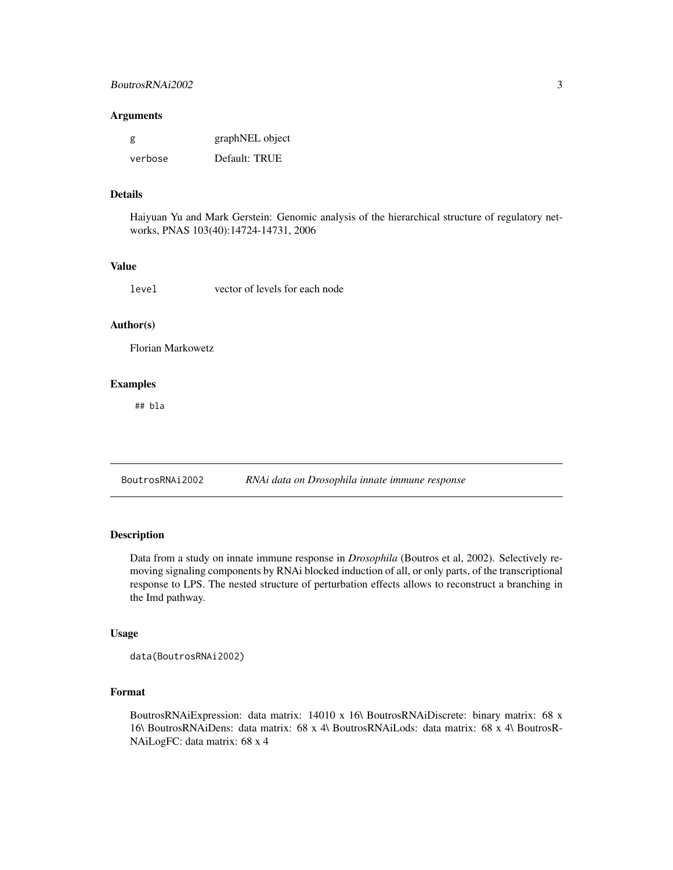#### <span id="page-2-0"></span>Arguments

| g       | graphNEL object |
|---------|-----------------|
| verbose | Default: TRUE   |

### Details

Haiyuan Yu and Mark Gerstein: Genomic analysis of the hierarchical structure of regulatory networks, PNAS 103(40):14724-14731, 2006

### Value

level vector of levels for each node

### Author(s)

Florian Markowetz

### Examples

## bla

<span id="page-2-1"></span>BoutrosRNAi2002 *RNAi data on Drosophila innate immune response*

### Description

Data from a study on innate immune response in *Drosophila* (Boutros et al, 2002). Selectively removing signaling components by RNAi blocked induction of all, or only parts, of the transcriptional response to LPS. The nested structure of perturbation effects allows to reconstruct a branching in the Imd pathway.

### Usage

data(BoutrosRNAi2002)

#### Format

BoutrosRNAiExpression: data matrix: 14010 x 16\ BoutrosRNAiDiscrete: binary matrix: 68 x 16\ BoutrosRNAiDens: data matrix: 68 x 4\ BoutrosRNAiLods: data matrix: 68 x 4\ BoutrosR-NAiLogFC: data matrix: 68 x 4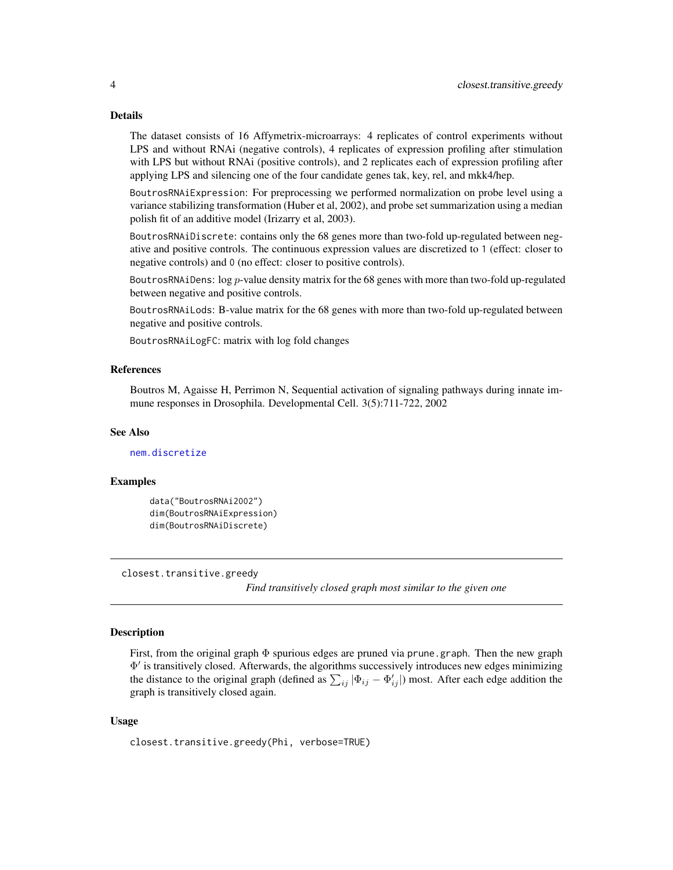The dataset consists of 16 Affymetrix-microarrays: 4 replicates of control experiments without LPS and without RNAi (negative controls), 4 replicates of expression profiling after stimulation with LPS but without RNAi (positive controls), and 2 replicates each of expression profiling after applying LPS and silencing one of the four candidate genes tak, key, rel, and mkk4/hep.

BoutrosRNAiExpression: For preprocessing we performed normalization on probe level using a variance stabilizing transformation (Huber et al, 2002), and probe set summarization using a median polish fit of an additive model (Irizarry et al, 2003).

BoutrosRNAiDiscrete: contains only the 68 genes more than two-fold up-regulated between negative and positive controls. The continuous expression values are discretized to 1 (effect: closer to negative controls) and 0 (no effect: closer to positive controls).

BoutrosRNAiDens:  $log p$ -value density matrix for the 68 genes with more than two-fold up-regulated between negative and positive controls.

BoutrosRNAiLods: B-value matrix for the 68 genes with more than two-fold up-regulated between negative and positive controls.

BoutrosRNAiLogFC: matrix with log fold changes

#### References

Boutros M, Agaisse H, Perrimon N, Sequential activation of signaling pathways during innate immune responses in Drosophila. Developmental Cell. 3(5):711-722, 2002

#### See Also

[nem.discretize](#page-21-1)

#### Examples

```
data("BoutrosRNAi2002")
dim(BoutrosRNAiExpression)
dim(BoutrosRNAiDiscrete)
```
closest.transitive.greedy

*Find transitively closed graph most similar to the given one*

#### **Description**

First, from the original graph Φ spurious edges are pruned via prune.graph. Then the new graph Φ 0 is transitively closed. Afterwards, the algorithms successively introduces new edges minimizing the distance to the original graph (defined as  $\sum_{ij} |\Phi_{ij} - \Phi'_{ij}|$ ) most. After each edge addition the graph is transitively closed again.

#### Usage

```
closest.transitive.greedy(Phi, verbose=TRUE)
```
<span id="page-3-0"></span>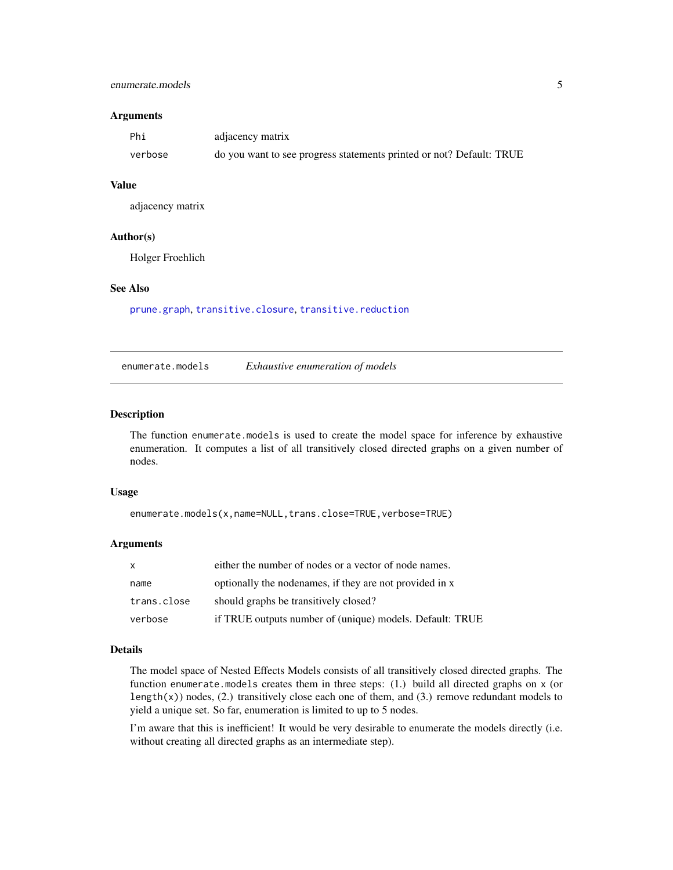### <span id="page-4-0"></span>enumerate.models 5

#### Arguments

| Phi     | adjacency matrix                                                     |
|---------|----------------------------------------------------------------------|
| verbose | do you want to see progress statements printed or not? Default: TRUE |

#### Value

adjacency matrix

#### Author(s)

Holger Froehlich

### See Also

[prune.graph](#page-31-1), [transitive.closure](#page-41-1), [transitive.reduction](#page-43-1)

enumerate.models *Exhaustive enumeration of models*

#### Description

The function enumerate.models is used to create the model space for inference by exhaustive enumeration. It computes a list of all transitively closed directed graphs on a given number of nodes.

#### Usage

```
enumerate.models(x,name=NULL,trans.close=TRUE,verbose=TRUE)
```
### Arguments

| X           | either the number of nodes or a vector of node names.    |
|-------------|----------------------------------------------------------|
| name        | optionally the nodenames, if they are not provided in x  |
| trans.close | should graphs be transitively closed?                    |
| verbose     | if TRUE outputs number of (unique) models. Default: TRUE |

### Details

The model space of Nested Effects Models consists of all transitively closed directed graphs. The function enumerate.models creates them in three steps: (1.) build all directed graphs on x (or length(x)) nodes, (2.) transitively close each one of them, and (3.) remove redundant models to yield a unique set. So far, enumeration is limited to up to 5 nodes.

I'm aware that this is inefficient! It would be very desirable to enumerate the models directly (i.e. without creating all directed graphs as an intermediate step).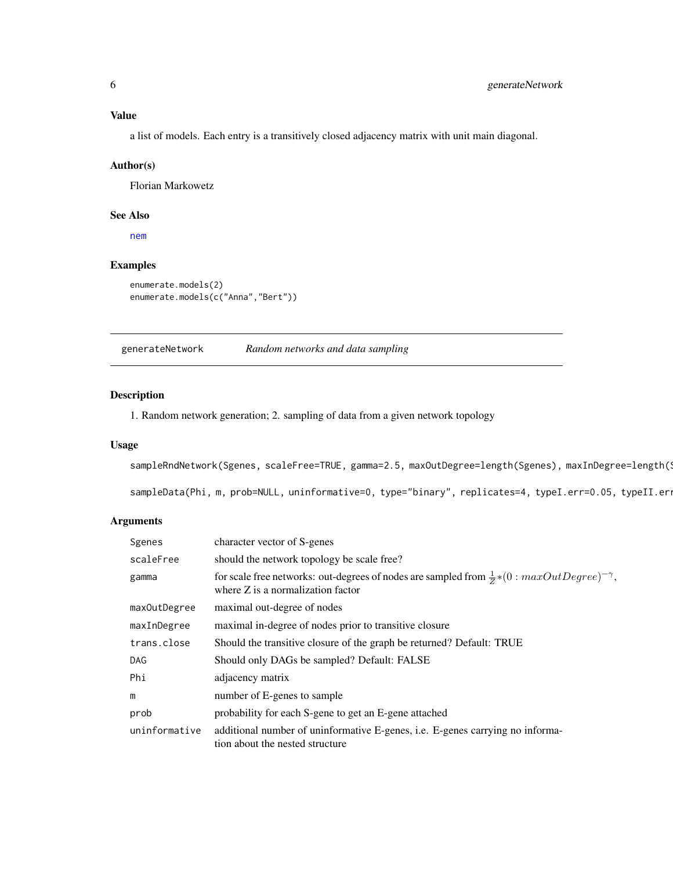<span id="page-5-0"></span>a list of models. Each entry is a transitively closed adjacency matrix with unit main diagonal.

#### Author(s)

Florian Markowetz

### See Also

[nem](#page-13-1)

### Examples

```
enumerate.models(2)
enumerate.models(c("Anna","Bert"))
```
generateNetwork *Random networks and data sampling*

#### Description

1. Random network generation; 2. sampling of data from a given network topology

### Usage

sampleRndNetwork(Sgenes, scaleFree=TRUE, gamma=2.5, maxOutDegree=length(Sgenes), maxInDegree=length(S

sampleData(Phi, m, prob=NULL, uninformative=0, type="binary", replicates=4, typeI.err=0.05, typeII.er

#### Arguments

| Sgenes        | character vector of S-genes                                                                                                                    |
|---------------|------------------------------------------------------------------------------------------------------------------------------------------------|
| scaleFree     | should the network topology be scale free?                                                                                                     |
| gamma         | for scale free networks: out-degrees of nodes are sampled from $\frac{1}{2}*(0:maxOutDegree)^{-\gamma}$ ,<br>where Z is a normalization factor |
| maxOutDegree  | maximal out-degree of nodes                                                                                                                    |
| maxInDegree   | maximal in-degree of nodes prior to transitive closure                                                                                         |
| trans.close   | Should the transitive closure of the graph be returned? Default: TRUE                                                                          |
| DAG           | Should only DAGs be sampled? Default: FALSE                                                                                                    |
| Phi           | adjacency matrix                                                                                                                               |
| m             | number of E-genes to sample                                                                                                                    |
| prob          | probability for each S-gene to get an E-gene attached                                                                                          |
| uninformative | additional number of uninformative E-genes, i.e. E-genes carrying no informa-<br>tion about the nested structure                               |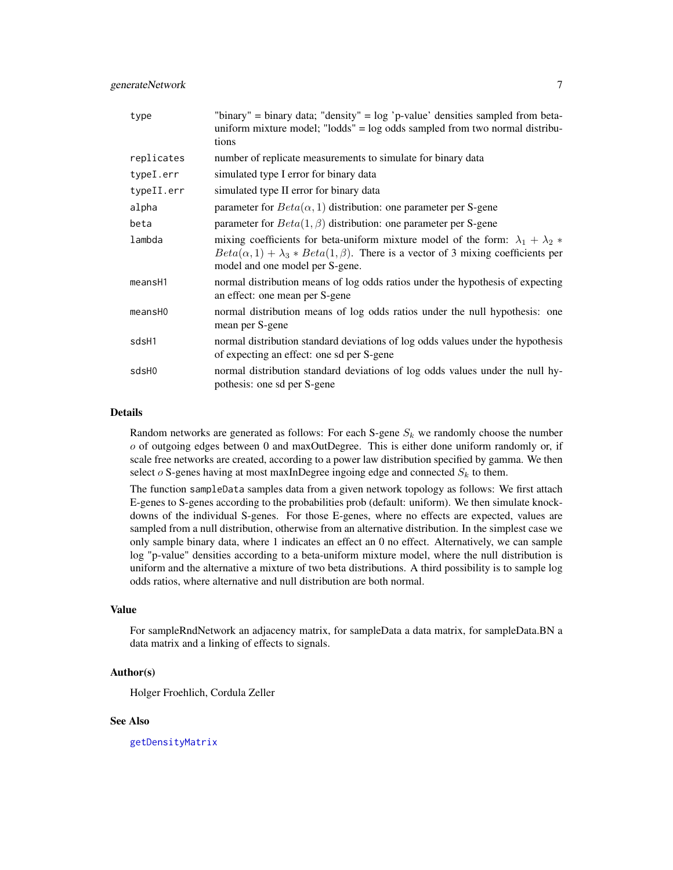| type       | "binary" = binary data; "density" = $log$ 'p-value' densities sampled from beta-<br>uniform mixture model; "lodds" = log odds sampled from two normal distribu-<br>tions                                                      |
|------------|-------------------------------------------------------------------------------------------------------------------------------------------------------------------------------------------------------------------------------|
| replicates | number of replicate measurements to simulate for binary data                                                                                                                                                                  |
| typeI.err  | simulated type I error for binary data                                                                                                                                                                                        |
| typeII.err | simulated type II error for binary data                                                                                                                                                                                       |
| alpha      | parameter for $Beta(\alpha, 1)$ distribution: one parameter per S-gene                                                                                                                                                        |
| beta       | parameter for $Beta(1, \beta)$ distribution: one parameter per S-gene                                                                                                                                                         |
| lambda     | mixing coefficients for beta-uniform mixture model of the form: $\lambda_1 + \lambda_2$<br>$Beta(\alpha, 1) + \lambda_3 * Beta(1, \beta)$ . There is a vector of 3 mixing coefficients per<br>model and one model per S-gene. |
| meansH1    | normal distribution means of log odds ratios under the hypothesis of expecting<br>an effect: one mean per S-gene                                                                                                              |
| meansH0    | normal distribution means of log odds ratios under the null hypothesis: one<br>mean per S-gene                                                                                                                                |
| sdsH1      | normal distribution standard deviations of log odds values under the hypothesis<br>of expecting an effect: one sd per S-gene                                                                                                  |
| sdsH0      | normal distribution standard deviations of log odds values under the null hy-<br>pothesis: one sd per S-gene                                                                                                                  |

Random networks are generated as follows: For each S-gene  $S_k$  we randomly choose the number o of outgoing edges between 0 and maxOutDegree. This is either done uniform randomly or, if scale free networks are created, according to a power law distribution specified by gamma. We then select  $o$  S-genes having at most maxInDegree ingoing edge and connected  $S_k$  to them.

The function sampleData samples data from a given network topology as follows: We first attach E-genes to S-genes according to the probabilities prob (default: uniform). We then simulate knockdowns of the individual S-genes. For those E-genes, where no effects are expected, values are sampled from a null distribution, otherwise from an alternative distribution. In the simplest case we only sample binary data, where 1 indicates an effect an 0 no effect. Alternatively, we can sample log "p-value" densities according to a beta-uniform mixture model, where the null distribution is uniform and the alternative a mixture of two beta distributions. A third possibility is to sample log odds ratios, where alternative and null distribution are both normal.

### Value

For sampleRndNetwork an adjacency matrix, for sampleData a data matrix, for sampleData.BN a data matrix and a linking of effects to signals.

#### Author(s)

Holger Froehlich, Cordula Zeller

#### See Also

[getDensityMatrix](#page-7-1)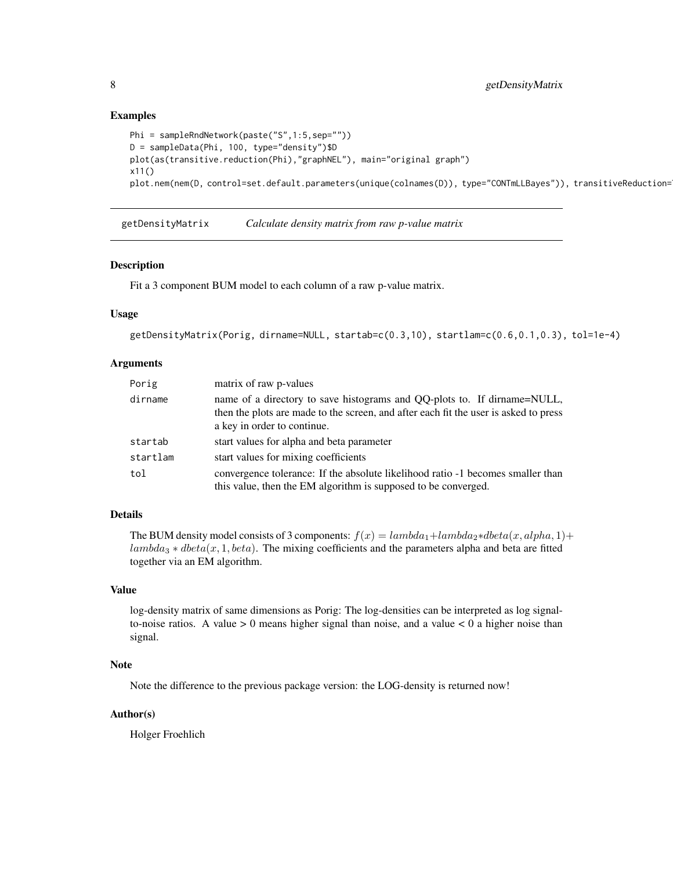### Examples

```
Phi = sampleRndNetwork(paste("S",1:5,sep=""))
D = sampleData(Phi, 100, type="density")$D
plot(as(transitive.reduction(Phi),"graphNEL"), main="original graph")
x11()
plot.nem(nem(D, control=set.default.parameters(unique(colnames(D)), type="CONTmLLBayes")), transitiveReduction=
```
<span id="page-7-1"></span>getDensityMatrix *Calculate density matrix from raw p-value matrix*

### Description

Fit a 3 component BUM model to each column of a raw p-value matrix.

### Usage

```
getDensityMatrix(Porig, dirname=NULL, startab=c(0.3,10), startlam=c(0.6,0.1,0.3), tol=1e-4)
```
### Arguments

| Porig    | matrix of raw p-values                                                                                                                                                                          |
|----------|-------------------------------------------------------------------------------------------------------------------------------------------------------------------------------------------------|
| dirname  | name of a directory to save histograms and QQ-plots to. If dirname=NULL,<br>then the plots are made to the screen, and after each fit the user is asked to press<br>a key in order to continue. |
| startab  | start values for alpha and beta parameter                                                                                                                                                       |
| startlam | start values for mixing coefficients                                                                                                                                                            |
| tol      | convergence tolerance: If the absolute likelihood ratio -1 becomes smaller than<br>this value, then the EM algorithm is supposed to be converged.                                               |

### Details

The BUM density model consists of 3 components:  $f(x) = lambda_1 + lambda_2 * dbeta(x, alpha, 1) +$  $lambda_3 * \theta beta(x, 1, beta)$ . The mixing coefficients and the parameters alpha and beta are fitted together via an EM algorithm.

#### Value

log-density matrix of same dimensions as Porig: The log-densities can be interpreted as log signalto-noise ratios. A value  $> 0$  means higher signal than noise, and a value  $< 0$  a higher noise than signal.

#### Note

Note the difference to the previous package version: the LOG-density is returned now!

#### Author(s)

Holger Froehlich

<span id="page-7-0"></span>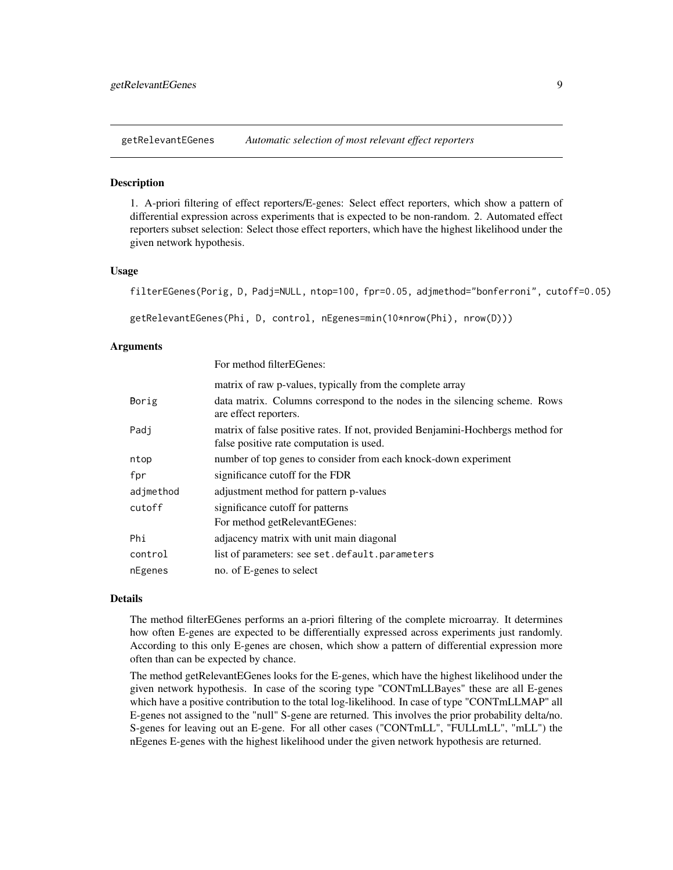<span id="page-8-0"></span>getRelevantEGenes *Automatic selection of most relevant effect reporters*

#### **Description**

1. A-priori filtering of effect reporters/E-genes: Select effect reporters, which show a pattern of differential expression across experiments that is expected to be non-random. 2. Automated effect reporters subset selection: Select those effect reporters, which have the highest likelihood under the given network hypothesis.

#### Usage

filterEGenes(Porig, D, Padj=NULL, ntop=100, fpr=0.05, adjmethod="bonferroni", cutoff=0.05)

```
getRelevantEGenes(Phi, D, control, nEgenes=min(10*nrow(Phi), nrow(D)))
```
#### Arguments

|              | For method filterEGenes:                                                                                                    |
|--------------|-----------------------------------------------------------------------------------------------------------------------------|
|              | matrix of raw p-values, typically from the complete array                                                                   |
| <b>Borig</b> | data matrix. Columns correspond to the nodes in the silencing scheme. Rows<br>are effect reporters.                         |
| Padi         | matrix of false positive rates. If not, provided Benjamini-Hochbergs method for<br>false positive rate computation is used. |
| ntop         | number of top genes to consider from each knock-down experiment                                                             |
| fpr          | significance cutoff for the FDR                                                                                             |
| adjmethod    | adjustment method for pattern p-values                                                                                      |
| cutoff       | significance cutoff for patterns                                                                                            |
|              | For method getRelevantEGenes:                                                                                               |
| Phi          | adjacency matrix with unit main diagonal                                                                                    |
| control      | list of parameters: see set.default.parameters                                                                              |
| nEgenes      | no. of E-genes to select                                                                                                    |

### Details

The method filterEGenes performs an a-priori filtering of the complete microarray. It determines how often E-genes are expected to be differentially expressed across experiments just randomly. According to this only E-genes are chosen, which show a pattern of differential expression more often than can be expected by chance.

The method getRelevantEGenes looks for the E-genes, which have the highest likelihood under the given network hypothesis. In case of the scoring type "CONTmLLBayes" these are all E-genes which have a positive contribution to the total log-likelihood. In case of type "CONTmLLMAP" all E-genes not assigned to the "null" S-gene are returned. This involves the prior probability delta/no. S-genes for leaving out an E-gene. For all other cases ("CONTmLL", "FULLmLL", "mLL") the nEgenes E-genes with the highest likelihood under the given network hypothesis are returned.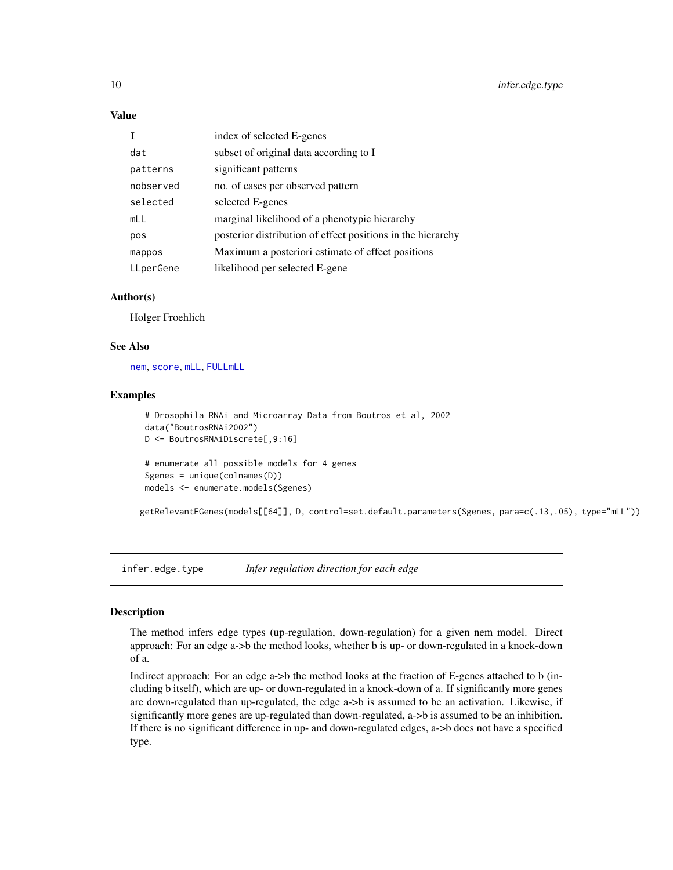### Value

|           | index of selected E-genes                                   |
|-----------|-------------------------------------------------------------|
| dat       | subset of original data according to I                      |
| patterns  | significant patterns                                        |
| nobserved | no. of cases per observed pattern                           |
| selected  | selected E-genes                                            |
| mLL       | marginal likelihood of a phenotypic hierarchy               |
| pos       | posterior distribution of effect positions in the hierarchy |
| mappos    | Maximum a posteriori estimate of effect positions           |
| LLperGene | likelihood per selected E-gene                              |

### Author(s)

Holger Froehlich

### See Also

[nem](#page-13-1), [score](#page-11-1), [mLL](#page-11-1), [FULLmLL](#page-11-1)

#### Examples

```
# Drosophila RNAi and Microarray Data from Boutros et al, 2002
data("BoutrosRNAi2002")
D <- BoutrosRNAiDiscrete[,9:16]
# enumerate all possible models for 4 genes
Sgenes = unique(colnames(D))
models <- enumerate.models(Sgenes)
```
getRelevantEGenes(models[[64]], D, control=set.default.parameters(Sgenes, para=c(.13,.05), type="mLL"))

<span id="page-9-1"></span>infer.edge.type *Infer regulation direction for each edge*

#### Description

The method infers edge types (up-regulation, down-regulation) for a given nem model. Direct approach: For an edge a->b the method looks, whether b is up- or down-regulated in a knock-down of a.

Indirect approach: For an edge a->b the method looks at the fraction of E-genes attached to b (including b itself), which are up- or down-regulated in a knock-down of a. If significantly more genes are down-regulated than up-regulated, the edge a->b is assumed to be an activation. Likewise, if significantly more genes are up-regulated than down-regulated, a->b is assumed to be an inhibition. If there is no significant difference in up- and down-regulated edges, a->b does not have a specified type.

<span id="page-9-0"></span>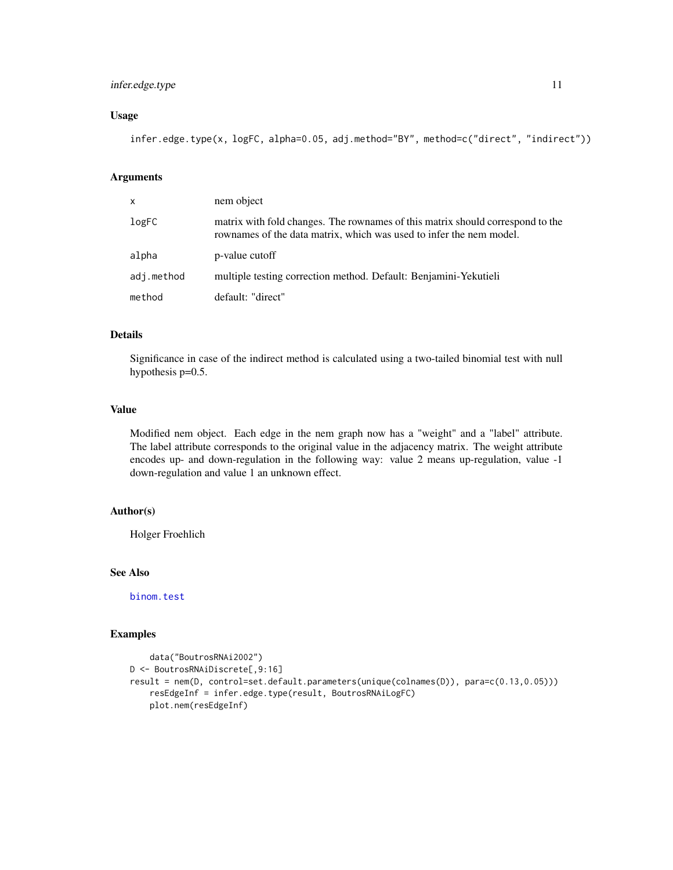### infer.edge.type 11

### Usage

infer.edge.type(x, logFC, alpha=0.05, adj.method="BY", method=c("direct", "indirect"))

### Arguments

| X          | nem object                                                                                                                                            |
|------------|-------------------------------------------------------------------------------------------------------------------------------------------------------|
| logFC      | matrix with fold changes. The rownames of this matrix should correspond to the<br>rownames of the data matrix, which was used to infer the nem model. |
| alpha      | p-value cutoff                                                                                                                                        |
| adj.method | multiple testing correction method. Default: Benjamini-Yekutieli                                                                                      |
| method     | default: "direct"                                                                                                                                     |

### Details

Significance in case of the indirect method is calculated using a two-tailed binomial test with null hypothesis p=0.5.

#### Value

Modified nem object. Each edge in the nem graph now has a "weight" and a "label" attribute. The label attribute corresponds to the original value in the adjacency matrix. The weight attribute encodes up- and down-regulation in the following way: value 2 means up-regulation, value -1 down-regulation and value 1 an unknown effect.

#### Author(s)

Holger Froehlich

### See Also

[binom.test](#page-0-0)

### Examples

```
data("BoutrosRNAi2002")
D <- BoutrosRNAiDiscrete[,9:16]
result = nem(D, control=set.default.parameters(unique(colnames(D)), para=c(0.13,0.05)))
    resEdgeInf = infer.edge.type(result, BoutrosRNAiLogFC)
    plot.nem(resEdgeInf)
```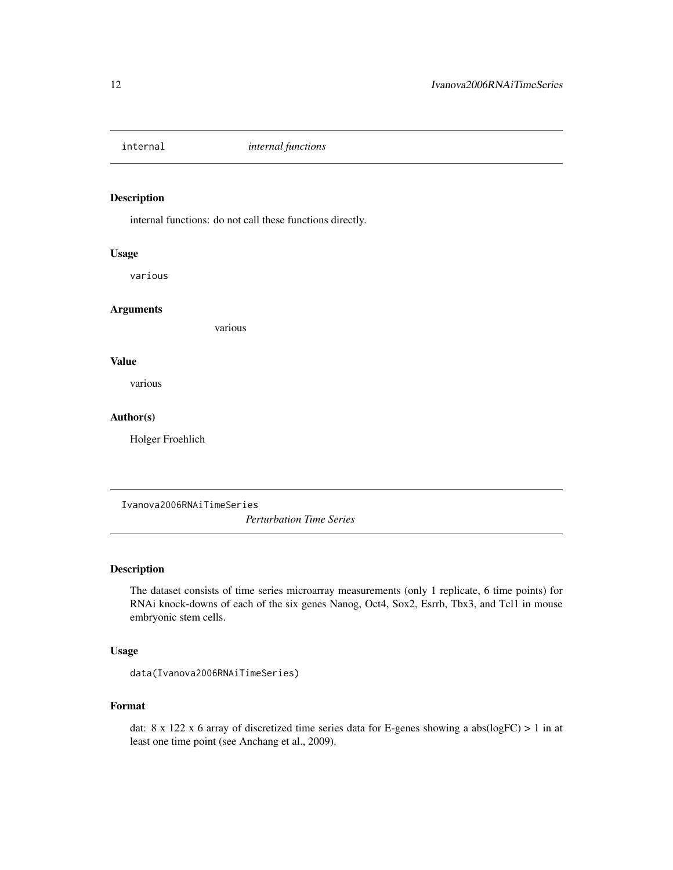<span id="page-11-0"></span>

### <span id="page-11-1"></span>Description

internal functions: do not call these functions directly.

### Usage

various

#### Arguments

various

#### Value

various

### Author(s)

Holger Froehlich

<span id="page-11-2"></span>Ivanova2006RNAiTimeSeries

*Perturbation Time Series*

### Description

The dataset consists of time series microarray measurements (only 1 replicate, 6 time points) for RNAi knock-downs of each of the six genes Nanog, Oct4, Sox2, Esrrb, Tbx3, and Tcl1 in mouse embryonic stem cells.

### Usage

data(Ivanova2006RNAiTimeSeries)

### Format

dat: 8 x 122 x 6 array of discretized time series data for E-genes showing a abs(logFC) > 1 in at least one time point (see Anchang et al., 2009).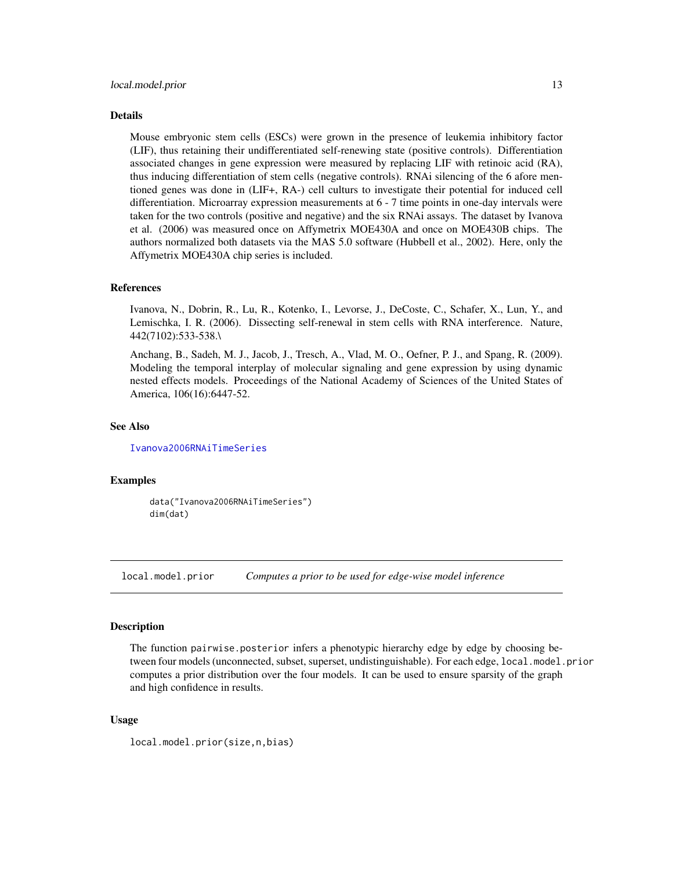<span id="page-12-0"></span>Mouse embryonic stem cells (ESCs) were grown in the presence of leukemia inhibitory factor (LIF), thus retaining their undifferentiated self-renewing state (positive controls). Differentiation associated changes in gene expression were measured by replacing LIF with retinoic acid (RA), thus inducing differentiation of stem cells (negative controls). RNAi silencing of the 6 afore mentioned genes was done in (LIF+, RA-) cell culturs to investigate their potential for induced cell differentiation. Microarray expression measurements at 6 - 7 time points in one-day intervals were taken for the two controls (positive and negative) and the six RNAi assays. The dataset by Ivanova et al. (2006) was measured once on Affymetrix MOE430A and once on MOE430B chips. The authors normalized both datasets via the MAS 5.0 software (Hubbell et al., 2002). Here, only the Affymetrix MOE430A chip series is included.

#### References

Ivanova, N., Dobrin, R., Lu, R., Kotenko, I., Levorse, J., DeCoste, C., Schafer, X., Lun, Y., and Lemischka, I. R. (2006). Dissecting self-renewal in stem cells with RNA interference. Nature, 442(7102):533-538.\

Anchang, B., Sadeh, M. J., Jacob, J., Tresch, A., Vlad, M. O., Oefner, P. J., and Spang, R. (2009). Modeling the temporal interplay of molecular signaling and gene expression by using dynamic nested effects models. Proceedings of the National Academy of Sciences of the United States of America, 106(16):6447-52.

#### See Also

[Ivanova2006RNAiTimeSeries](#page-11-2)

#### Examples

data("Ivanova2006RNAiTimeSeries") dim(dat)

<span id="page-12-1"></span>local.model.prior *Computes a prior to be used for edge-wise model inference*

#### Description

The function pairwise.posterior infers a phenotypic hierarchy edge by edge by choosing between four models (unconnected, subset, superset, undistinguishable). For each edge, local.model.prior computes a prior distribution over the four models. It can be used to ensure sparsity of the graph and high confidence in results.

#### Usage

local.model.prior(size,n,bias)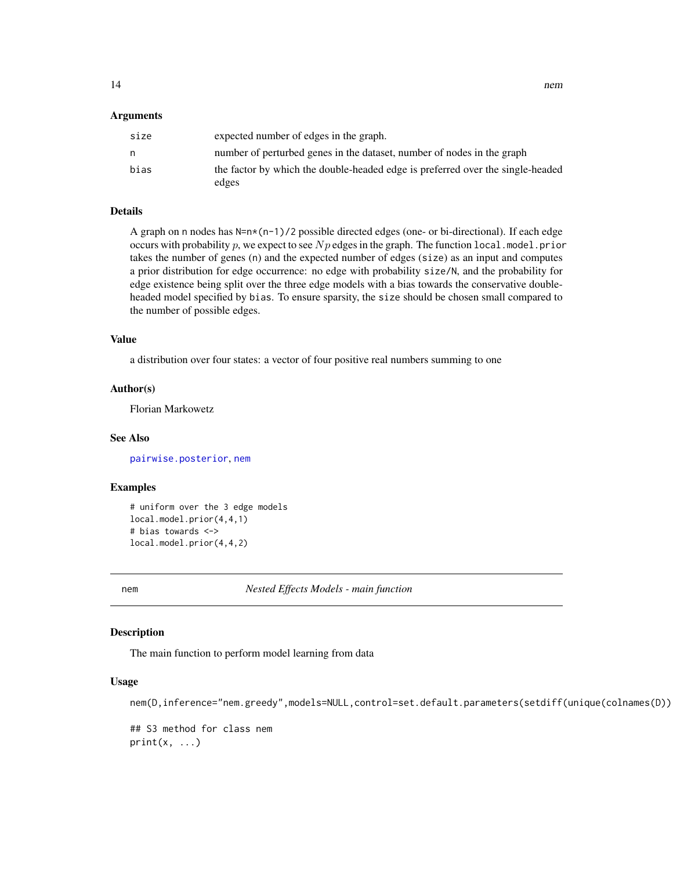#### <span id="page-13-0"></span>Arguments

| size | expected number of edges in the graph.                                                  |
|------|-----------------------------------------------------------------------------------------|
| n    | number of perturbed genes in the dataset, number of nodes in the graph                  |
| bias | the factor by which the double-headed edge is preferred over the single-headed<br>edges |

#### Details

A graph on n nodes has  $N=n*(n-1)/2$  possible directed edges (one- or bi-directional). If each edge occurs with probability p, we expect to see  $Np$  edges in the graph. The function local.model.prior takes the number of genes (n) and the expected number of edges (size) as an input and computes a prior distribution for edge occurrence: no edge with probability size/N, and the probability for edge existence being split over the three edge models with a bias towards the conservative doubleheaded model specified by bias. To ensure sparsity, the size should be chosen small compared to the number of possible edges.

#### Value

a distribution over four states: a vector of four positive real numbers summing to one

#### Author(s)

Florian Markowetz

#### See Also

[pairwise.posterior](#page-11-1), [nem](#page-13-1)

### Examples

```
# uniform over the 3 edge models
local.model.prior(4,4,1)
# bias towards <->
local.model.prior(4,4,2)
```
<span id="page-13-1"></span>

nem *Nested Effects Models - main function*

#### Description

The main function to perform model learning from data

### Usage

nem(D,inference="nem.greedy",models=NULL,control=set.default.parameters(setdiff(unique(colnames(D))

## S3 method for class nem  $print(x, \ldots)$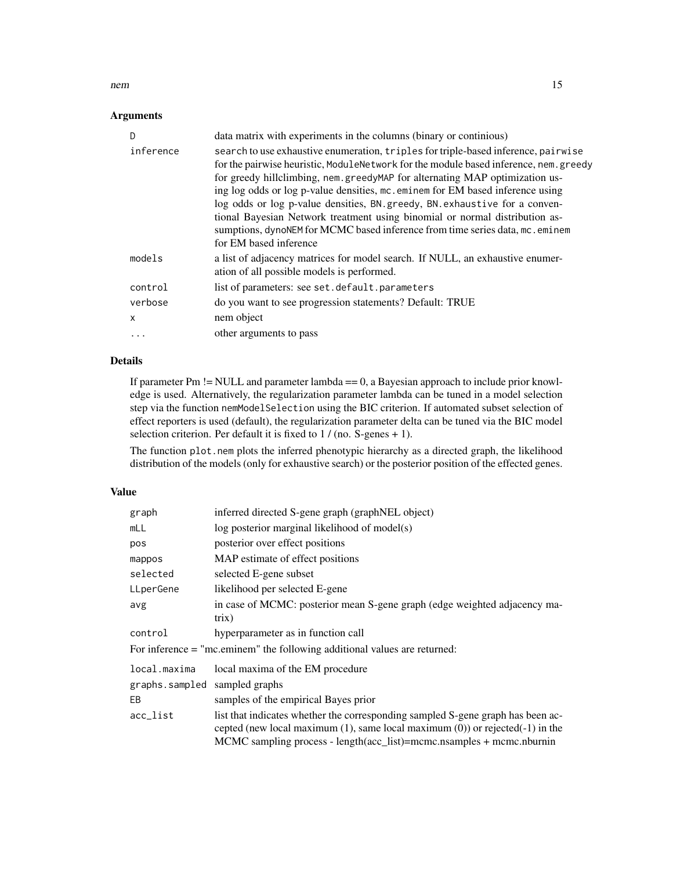#### nem and the state of the state of the state of the state of the state of the state of the state of the state of the state of the state of the state of the state of the state of the state of the state of the state of the st

### Arguments

| D            | data matrix with experiments in the columns (binary or continious)                                                                                                                                                                                                                                                                                                                                                                                                                                                                                                                                                    |
|--------------|-----------------------------------------------------------------------------------------------------------------------------------------------------------------------------------------------------------------------------------------------------------------------------------------------------------------------------------------------------------------------------------------------------------------------------------------------------------------------------------------------------------------------------------------------------------------------------------------------------------------------|
| inference    | search to use exhaustive enumeration, triples for triple-based inference, pairwise<br>for the pairwise heuristic, ModuleNetwork for the module based inference, nem. greedy<br>for greedy hillclimbing, nem.greedyMAP for alternating MAP optimization us-<br>ing log odds or log p-value densities, mc. eminem for EM based inference using<br>log odds or log p-value densities, BN. greedy, BN. exhaustive for a conven-<br>tional Bayesian Network treatment using binomial or normal distribution as-<br>sumptions, dynoNEM for MCMC based inference from time series data, mc. eminem<br>for EM based inference |
| models       | a list of adjacency matrices for model search. If NULL, an exhaustive enumer-<br>ation of all possible models is performed.                                                                                                                                                                                                                                                                                                                                                                                                                                                                                           |
| control      | list of parameters: see set.default.parameters                                                                                                                                                                                                                                                                                                                                                                                                                                                                                                                                                                        |
| verbose      | do you want to see progression statements? Default: TRUE                                                                                                                                                                                                                                                                                                                                                                                                                                                                                                                                                              |
| $\mathsf{x}$ | nem object                                                                                                                                                                                                                                                                                                                                                                                                                                                                                                                                                                                                            |
|              | other arguments to pass                                                                                                                                                                                                                                                                                                                                                                                                                                                                                                                                                                                               |

### Details

If parameter Pm != NULL and parameter lambda == 0, a Bayesian approach to include prior knowledge is used. Alternatively, the regularization parameter lambda can be tuned in a model selection step via the function nemModelSelection using the BIC criterion. If automated subset selection of effect reporters is used (default), the regularization parameter delta can be tuned via the BIC model selection criterion. Per default it is fixed to 1 / (no. S-genes + 1).

The function plot.nem plots the inferred phenotypic hierarchy as a directed graph, the likelihood distribution of the models (only for exhaustive search) or the posterior position of the effected genes.

### Value

| graph                         | inferred directed S-gene graph (graphNEL object)                                                                                                                                                                                                   |
|-------------------------------|----------------------------------------------------------------------------------------------------------------------------------------------------------------------------------------------------------------------------------------------------|
| mLL                           | log posterior marginal likelihood of model(s)                                                                                                                                                                                                      |
| pos                           | posterior over effect positions                                                                                                                                                                                                                    |
| mappos                        | MAP estimate of effect positions                                                                                                                                                                                                                   |
| selected                      | selected E-gene subset                                                                                                                                                                                                                             |
| LLperGene                     | likelihood per selected E-gene                                                                                                                                                                                                                     |
| avg                           | in case of MCMC: posterior mean S-gene graph (edge weighted adjacency ma-<br>trix)                                                                                                                                                                 |
| control                       | hyperparameter as in function call                                                                                                                                                                                                                 |
|                               | For inference $=$ "mc.eminem" the following additional values are returned:                                                                                                                                                                        |
| local.maxima                  | local maxima of the EM procedure                                                                                                                                                                                                                   |
| graphs.sampled sampled graphs |                                                                                                                                                                                                                                                    |
| EВ                            | samples of the empirical Bayes prior                                                                                                                                                                                                               |
| acc_list                      | list that indicates whether the corresponding sampled S-gene graph has been ac-<br>cepted (new local maximum $(1)$ , same local maximum $(0)$ ) or rejected $(-1)$ in the<br>MCMC sampling process - length(acc_list)=mcmc.nsamples + mcmc.nburnin |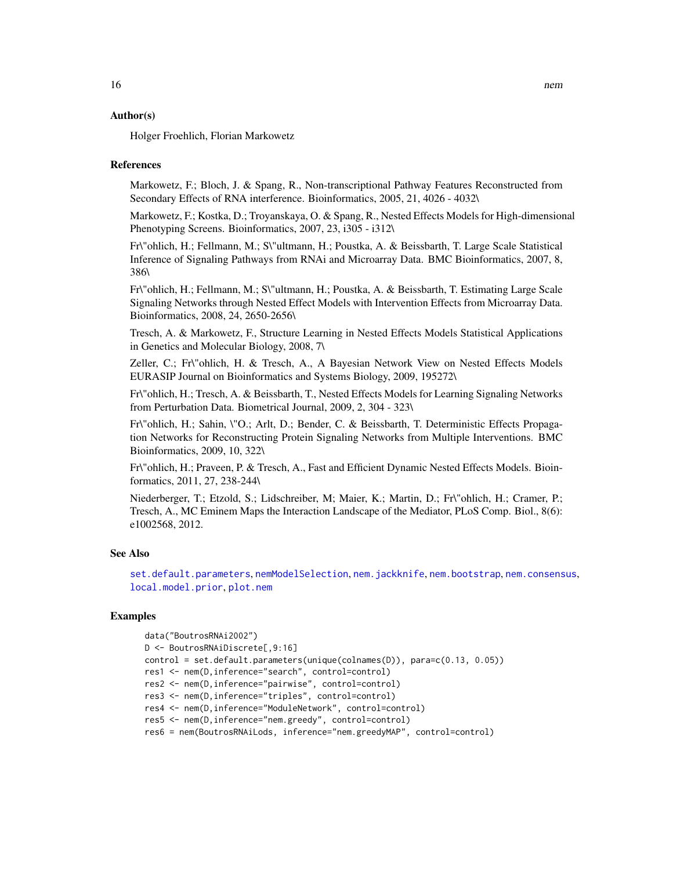#### Author(s)

Holger Froehlich, Florian Markowetz

#### References

Markowetz, F.; Bloch, J. & Spang, R., Non-transcriptional Pathway Features Reconstructed from Secondary Effects of RNA interference. Bioinformatics, 2005, 21, 4026 - 4032\

Markowetz, F.; Kostka, D.; Troyanskaya, O. & Spang, R., Nested Effects Models for High-dimensional Phenotyping Screens. Bioinformatics, 2007, 23, i305 - i312\

Fr\"ohlich, H.; Fellmann, M.; S\"ultmann, H.; Poustka, A. & Beissbarth, T. Large Scale Statistical Inference of Signaling Pathways from RNAi and Microarray Data. BMC Bioinformatics, 2007, 8, 386\

Fr\"ohlich, H.; Fellmann, M.; S\"ultmann, H.; Poustka, A. & Beissbarth, T. Estimating Large Scale Signaling Networks through Nested Effect Models with Intervention Effects from Microarray Data. Bioinformatics, 2008, 24, 2650-2656\

Tresch, A. & Markowetz, F., Structure Learning in Nested Effects Models Statistical Applications in Genetics and Molecular Biology, 2008, 7\

Zeller, C.; Fr\"ohlich, H. & Tresch, A., A Bayesian Network View on Nested Effects Models EURASIP Journal on Bioinformatics and Systems Biology, 2009, 195272\

Fr\"ohlich, H.; Tresch, A. & Beissbarth, T., Nested Effects Models for Learning Signaling Networks from Perturbation Data. Biometrical Journal, 2009, 2, 304 - 323\

Fr\"ohlich, H.; Sahin, \"O.; Arlt, D.; Bender, C. & Beissbarth, T. Deterministic Effects Propagation Networks for Reconstructing Protein Signaling Networks from Multiple Interventions. BMC Bioinformatics, 2009, 10, 322\

Fr\"ohlich, H.; Praveen, P. & Tresch, A., Fast and Efficient Dynamic Nested Effects Models. Bioinformatics, 2011, 27, 238-244\

Niederberger, T.; Etzold, S.; Lidschreiber, M; Maier, K.; Martin, D.; Fr\"ohlich, H.; Cramer, P.; Tresch, A., MC Eminem Maps the Interaction Landscape of the Mediator, PLoS Comp. Biol., 8(6): e1002568, 2012.

#### See Also

[set.default.parameters](#page-36-1), [nemModelSelection](#page-24-1), [nem.jackknife](#page-23-1), [nem.bootstrap](#page-16-1), [nem.consensus](#page-18-1), [local.model.prior](#page-12-1), [plot.nem](#page-27-1)

### Examples

```
data("BoutrosRNAi2002")
D <- BoutrosRNAiDiscrete[,9:16]
control = set.default.parameters(unique(colnames(D)), para=c(0.13, 0.05))
res1 <- nem(D,inference="search", control=control)
res2 <- nem(D,inference="pairwise", control=control)
res3 <- nem(D,inference="triples", control=control)
res4 <- nem(D,inference="ModuleNetwork", control=control)
res5 <- nem(D,inference="nem.greedy", control=control)
res6 = nem(BoutrosRNAiLods, inference="nem.greedyMAP", control=control)
```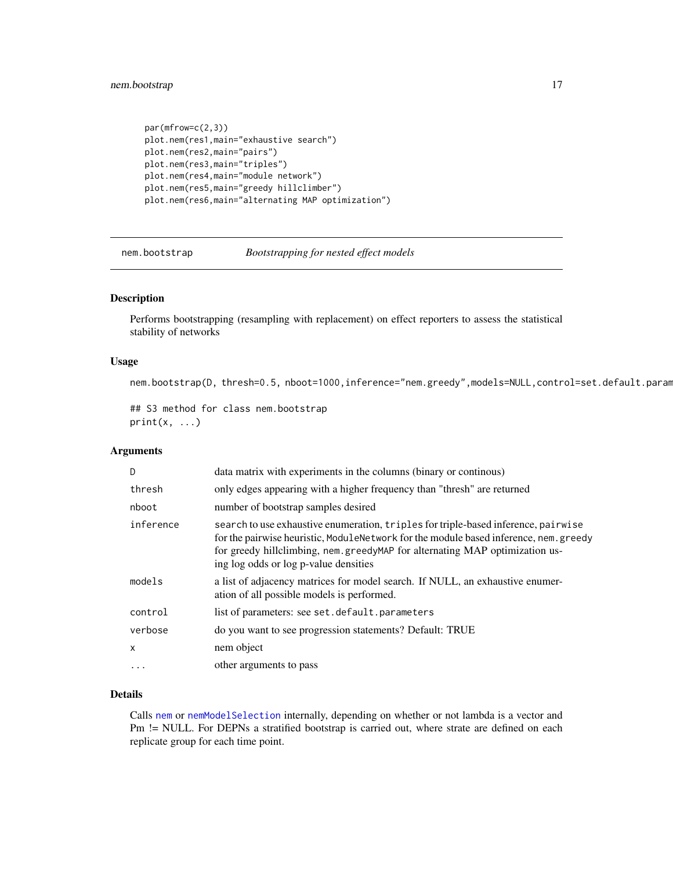### <span id="page-16-0"></span>nem.bootstrap 17

```
par(mfrow=c(2,3))
plot.nem(res1,main="exhaustive search")
plot.nem(res2,main="pairs")
plot.nem(res3,main="triples")
plot.nem(res4,main="module network")
plot.nem(res5,main="greedy hillclimber")
plot.nem(res6,main="alternating MAP optimization")
```
<span id="page-16-1"></span>

nem.bootstrap *Bootstrapping for nested effect models*

### Description

Performs bootstrapping (resampling with replacement) on effect reporters to assess the statistical stability of networks

### Usage

nem.bootstrap(D, thresh=0.5, nboot=1000,inference="nem.greedy",models=NULL,control=set.default.param

```
## S3 method for class nem.bootstrap
print(x, \ldots)
```
#### Arguments

| D         | data matrix with experiments in the columns (binary or continous)                                                                                                                                                                                                                                    |
|-----------|------------------------------------------------------------------------------------------------------------------------------------------------------------------------------------------------------------------------------------------------------------------------------------------------------|
| thresh    | only edges appearing with a higher frequency than "thresh" are returned                                                                                                                                                                                                                              |
| nboot     | number of bootstrap samples desired                                                                                                                                                                                                                                                                  |
| inference | search to use exhaustive enumeration, triples for triple-based inference, pairwise<br>for the pairwise heuristic, ModuleNetwork for the module based inference, nem. greedy<br>for greedy hillclimbing, nem. greedyMAP for alternating MAP optimization us-<br>ing log odds or log p-value densities |
| models    | a list of adjacency matrices for model search. If NULL, an exhaustive enumer-<br>ation of all possible models is performed.                                                                                                                                                                          |
| control   | list of parameters: see set.default.parameters                                                                                                                                                                                                                                                       |
| verbose   | do you want to see progression statements? Default: TRUE                                                                                                                                                                                                                                             |
| X         | nem object                                                                                                                                                                                                                                                                                           |
| .         | other arguments to pass                                                                                                                                                                                                                                                                              |
|           |                                                                                                                                                                                                                                                                                                      |

### Details

Calls [nem](#page-13-1) or [nemModelSelection](#page-24-1) internally, depending on whether or not lambda is a vector and Pm != NULL. For DEPNs a stratified bootstrap is carried out, where strate are defined on each replicate group for each time point.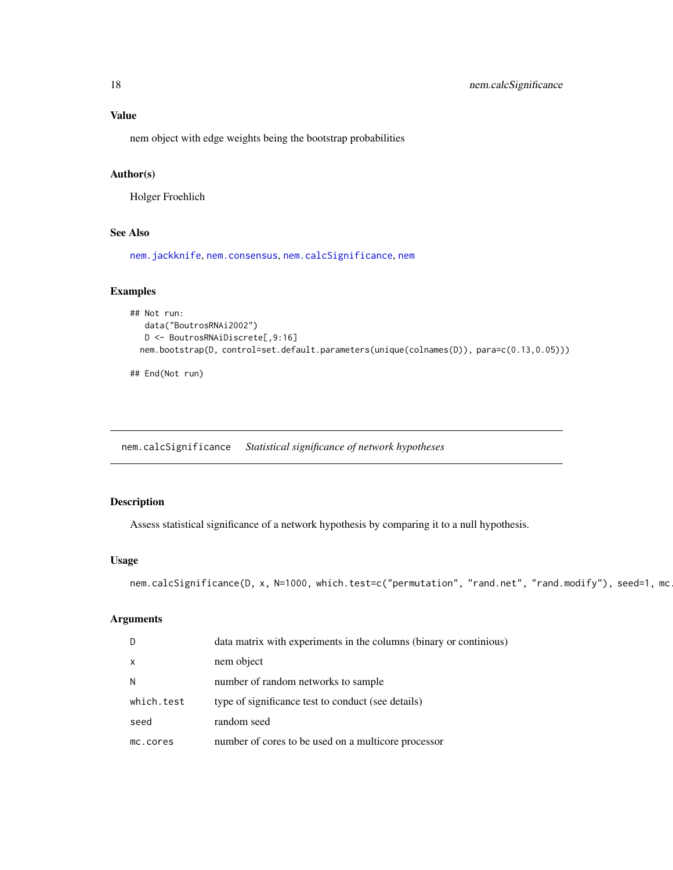### <span id="page-17-0"></span>Value

nem object with edge weights being the bootstrap probabilities

### Author(s)

Holger Froehlich

### See Also

[nem.jackknife](#page-23-1), [nem.consensus](#page-18-1), [nem.calcSignificance](#page-17-1), [nem](#page-13-1)

### Examples

```
## Not run:
  data("BoutrosRNAi2002")
  D <- BoutrosRNAiDiscrete[,9:16]
 nem.bootstrap(D, control=set.default.parameters(unique(colnames(D)), para=c(0.13,0.05)))
```
## End(Not run)

<span id="page-17-1"></span>nem.calcSignificance *Statistical significance of network hypotheses*

### Description

Assess statistical significance of a network hypothesis by comparing it to a null hypothesis.

#### Usage

```
nem.calcSignificance(D, x, N=1000, which.test=c("permutation", "rand.net", "rand.modify"), seed=1, mc
```
### Arguments

| -D           | data matrix with experiments in the columns (binary or continuous) |
|--------------|--------------------------------------------------------------------|
| $\mathsf{x}$ | nem object                                                         |
| N            | number of random networks to sample                                |
| which.test   | type of significance test to conduct (see details)                 |
| seed         | random seed                                                        |
| mc.cores     | number of cores to be used on a multicore processor                |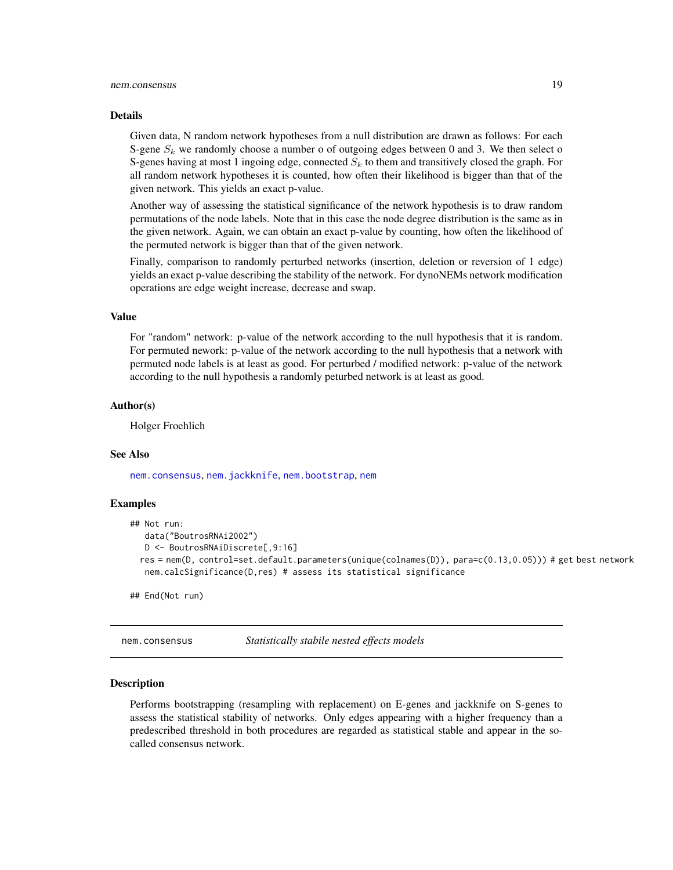#### <span id="page-18-0"></span>nem.consensus 19

#### Details

Given data, N random network hypotheses from a null distribution are drawn as follows: For each S-gene  $S_k$  we randomly choose a number o of outgoing edges between 0 and 3. We then select o S-genes having at most 1 ingoing edge, connected  $S_k$  to them and transitively closed the graph. For all random network hypotheses it is counted, how often their likelihood is bigger than that of the given network. This yields an exact p-value.

Another way of assessing the statistical significance of the network hypothesis is to draw random permutations of the node labels. Note that in this case the node degree distribution is the same as in the given network. Again, we can obtain an exact p-value by counting, how often the likelihood of the permuted network is bigger than that of the given network.

Finally, comparison to randomly perturbed networks (insertion, deletion or reversion of 1 edge) yields an exact p-value describing the stability of the network. For dynoNEMs network modification operations are edge weight increase, decrease and swap.

#### Value

For "random" network: p-value of the network according to the null hypothesis that it is random. For permuted nework: p-value of the network according to the null hypothesis that a network with permuted node labels is at least as good. For perturbed / modified network: p-value of the network according to the null hypothesis a randomly peturbed network is at least as good.

#### Author(s)

Holger Froehlich

#### See Also

[nem.consensus](#page-18-1), [nem.jackknife](#page-23-1), [nem.bootstrap](#page-16-1), [nem](#page-13-1)

#### Examples

```
## Not run:
  data("BoutrosRNAi2002")
  D <- BoutrosRNAiDiscrete[,9:16]
 res = nem(D, control=set.default.parameters(unique(colnames(D)), para=c(0.13,0.05))) # get best network
  nem.calcSignificance(D,res) # assess its statistical significance
```
## End(Not run)

<span id="page-18-1"></span>nem.consensus *Statistically stabile nested effects models*

#### Description

Performs bootstrapping (resampling with replacement) on E-genes and jackknife on S-genes to assess the statistical stability of networks. Only edges appearing with a higher frequency than a predescribed threshold in both procedures are regarded as statistical stable and appear in the socalled consensus network.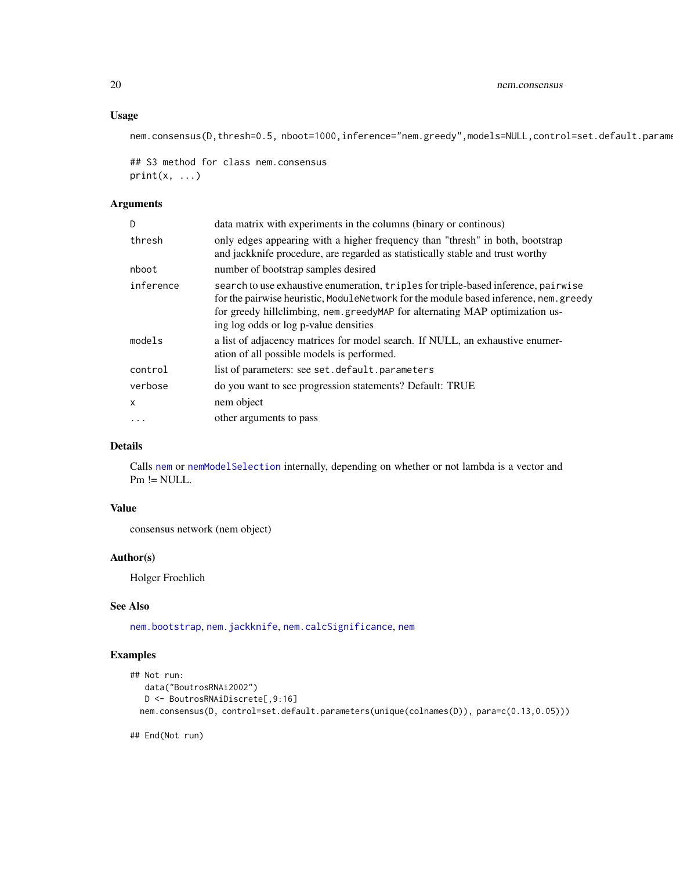### Usage

nem.consensus(D,thresh=0.5, nboot=1000,inference="nem.greedy",models=NULL,control=set.default.parame

## S3 method for class nem.consensus  $print(x, \ldots)$ 

### Arguments

| D         | data matrix with experiments in the columns (binary or continuous)                                                                                                                                                                                                                                  |
|-----------|-----------------------------------------------------------------------------------------------------------------------------------------------------------------------------------------------------------------------------------------------------------------------------------------------------|
| thresh    | only edges appearing with a higher frequency than "thresh" in both, bootstrap<br>and jackknife procedure, are regarded as statistically stable and trust worthy                                                                                                                                     |
| nboot     | number of bootstrap samples desired                                                                                                                                                                                                                                                                 |
| inference | search to use exhaustive enumeration, triples for triple-based inference, pairwise<br>for the pairwise heuristic, ModuleNetwork for the module based inference, nem. greedy<br>for greedy hillclimbing, nem.greedyMAP for alternating MAP optimization us-<br>ing log odds or log p-value densities |
| models    | a list of adjacency matrices for model search. If NULL, an exhaustive enumer-<br>ation of all possible models is performed.                                                                                                                                                                         |
| control   | list of parameters: see set.default.parameters                                                                                                                                                                                                                                                      |
| verbose   | do you want to see progression statements? Default: TRUE                                                                                                                                                                                                                                            |
| x         | nem object                                                                                                                                                                                                                                                                                          |
| $\cdots$  | other arguments to pass                                                                                                                                                                                                                                                                             |

### Details

Calls [nem](#page-13-1) or [nemModelSelection](#page-24-1) internally, depending on whether or not lambda is a vector and Pm != NULL.

### Value

consensus network (nem object)

### Author(s)

Holger Froehlich

### See Also

[nem.bootstrap](#page-16-1), [nem.jackknife](#page-23-1), [nem.calcSignificance](#page-17-1), [nem](#page-13-1)

### Examples

```
## Not run:
  data("BoutrosRNAi2002")
  D <- BoutrosRNAiDiscrete[,9:16]
  nem.consensus(D, control=set.default.parameters(unique(colnames(D)), para=c(0.13,0.05)))
```
## End(Not run)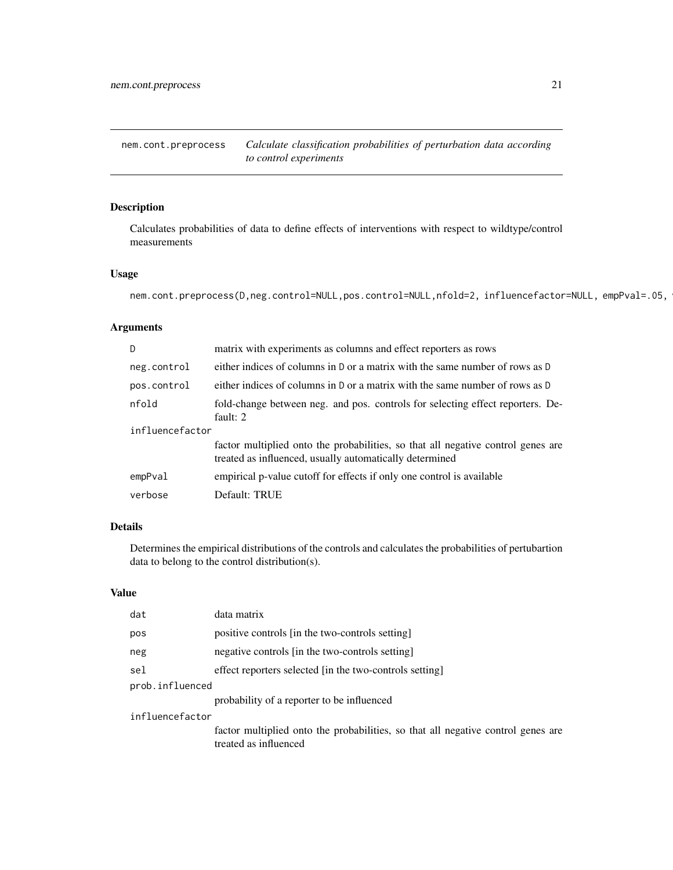<span id="page-20-0"></span>nem.cont.preprocess *Calculate classification probabilities of perturbation data according to control experiments*

### Description

Calculates probabilities of data to define effects of interventions with respect to wildtype/control measurements

### Usage

```
nem.cont.preprocess(D,neg.control=NULL,pos.control=NULL,nfold=2, influencefactor=NULL, empPval=.05,
```
### Arguments

| $\mathsf{D}$    | matrix with experiments as columns and effect reporters as rows                                                                             |  |
|-----------------|---------------------------------------------------------------------------------------------------------------------------------------------|--|
| neg.control     | either indices of columns in D or a matrix with the same number of rows as D                                                                |  |
| pos.control     | either indices of columns in D or a matrix with the same number of rows as D                                                                |  |
| nfold           | fold-change between neg. and pos. controls for selecting effect reporters. De-<br>fault: $2$                                                |  |
| influencefactor |                                                                                                                                             |  |
|                 | factor multiplied onto the probabilities, so that all negative control genes are<br>treated as influenced, usually automatically determined |  |
| empPval         | empirical p-value cutoff for effects if only one control is available                                                                       |  |
| verbose         | Default: TRUE                                                                                                                               |  |

### Details

Determines the empirical distributions of the controls and calculates the probabilities of pertubartion data to belong to the control distribution(s).

### Value

| positive controls [in the two-controls setting]<br>pos                                                    |  |  |
|-----------------------------------------------------------------------------------------------------------|--|--|
|                                                                                                           |  |  |
| negative controls [in the two-controls setting]<br>neg                                                    |  |  |
| sel<br>effect reporters selected [in the two-controls setting]                                            |  |  |
| prob.influenced                                                                                           |  |  |
| probability of a reporter to be influenced                                                                |  |  |
| influencefactor                                                                                           |  |  |
| factor multiplied onto the probabilities, so that all negative control genes are<br>treated as influenced |  |  |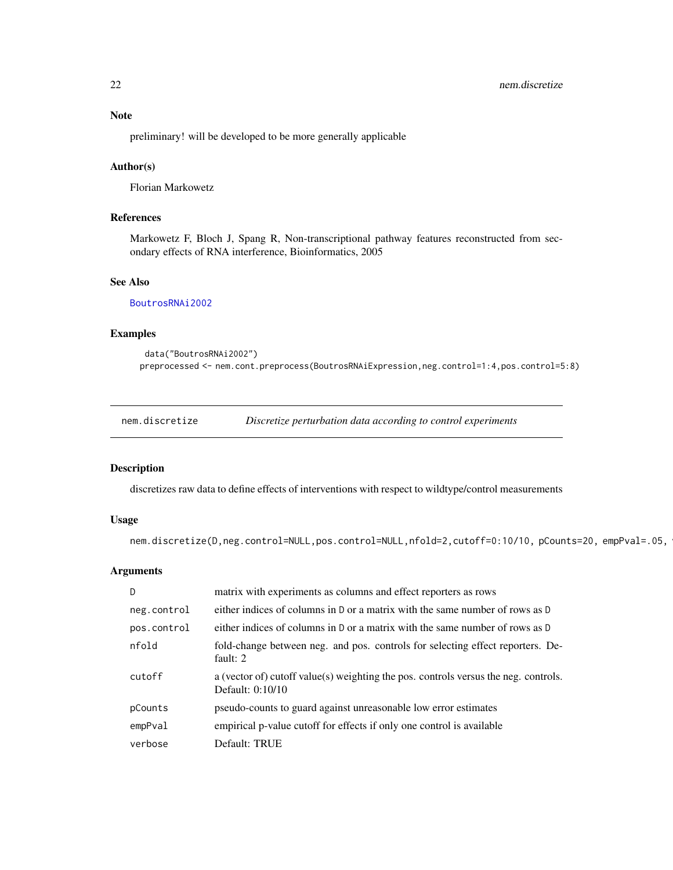### <span id="page-21-0"></span>Note

preliminary! will be developed to be more generally applicable

### Author(s)

Florian Markowetz

### References

Markowetz F, Bloch J, Spang R, Non-transcriptional pathway features reconstructed from secondary effects of RNA interference, Bioinformatics, 2005

### See Also

[BoutrosRNAi2002](#page-2-1)

### Examples

```
data("BoutrosRNAi2002")
preprocessed <- nem.cont.preprocess(BoutrosRNAiExpression,neg.control=1:4,pos.control=5:8)
```
<span id="page-21-1"></span>nem.discretize *Discretize perturbation data according to control experiments*

### Description

discretizes raw data to define effects of interventions with respect to wildtype/control measurements

### Usage

```
nem.discretize(D,neg.control=NULL,pos.control=NULL,nfold=2,cutoff=0:10/10, pCounts=20, empPval=.05,
```
### Arguments

| D.          | matrix with experiments as columns and effect reporters as rows                                         |
|-------------|---------------------------------------------------------------------------------------------------------|
| neg.control | either indices of columns in D or a matrix with the same number of rows as D                            |
| pos.control | either indices of columns in D or a matrix with the same number of rows as D                            |
| nfold       | fold-change between neg. and pos. controls for selecting effect reporters. De-<br>fault: $2$            |
| cutoff      | a (vector of) cutoff value(s) weighting the pos. controls versus the neg. controls.<br>Default: 0:10/10 |
| pCounts     | pseudo-counts to guard against unreasonable low error estimates                                         |
| empPval     | empirical p-value cutoff for effects if only one control is available                                   |
| verbose     | Default: TRUE                                                                                           |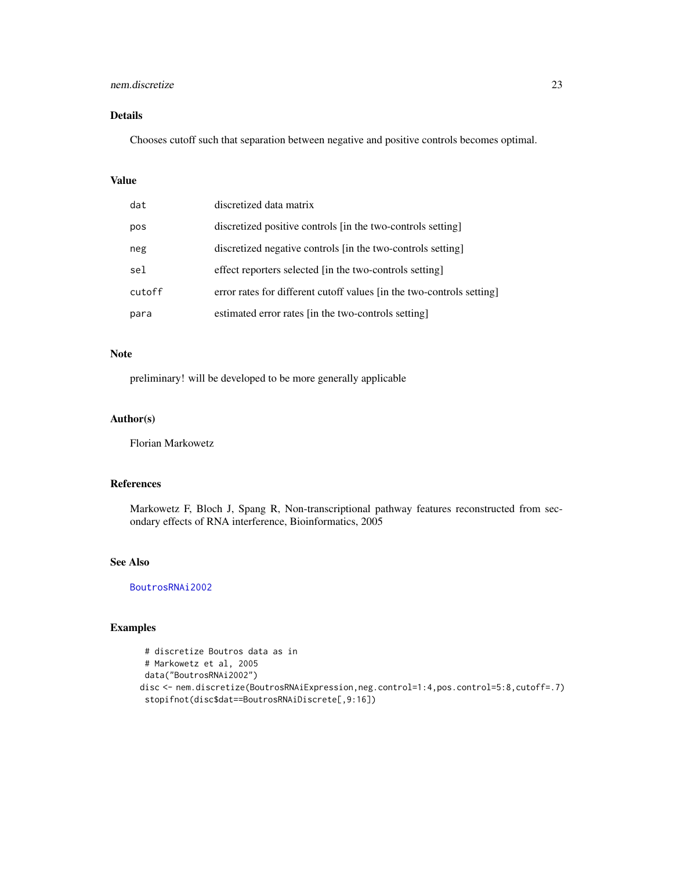### nem.discretize 23

### Details

Chooses cutoff such that separation between negative and positive controls becomes optimal.

### Value

| dat    | discretized data matrix                                               |
|--------|-----------------------------------------------------------------------|
| pos    | discretized positive controls [in the two-controls setting]           |
| neg    | discretized negative controls [in the two-controls setting]           |
| sel    | effect reporters selected [in the two-controls setting]               |
| cutoff | error rates for different cutoff values [in the two-controls setting] |
| para   | estimated error rates [in the two-controls setting]                   |

#### Note

preliminary! will be developed to be more generally applicable

### Author(s)

Florian Markowetz

### References

Markowetz F, Bloch J, Spang R, Non-transcriptional pathway features reconstructed from secondary effects of RNA interference, Bioinformatics, 2005

### See Also

[BoutrosRNAi2002](#page-2-1)

### Examples

```
# discretize Boutros data as in
 # Markowetz et al, 2005
data("BoutrosRNAi2002")
disc <- nem.discretize(BoutrosRNAiExpression,neg.control=1:4,pos.control=5:8,cutoff=.7)
 stopifnot(disc$dat==BoutrosRNAiDiscrete[,9:16])
```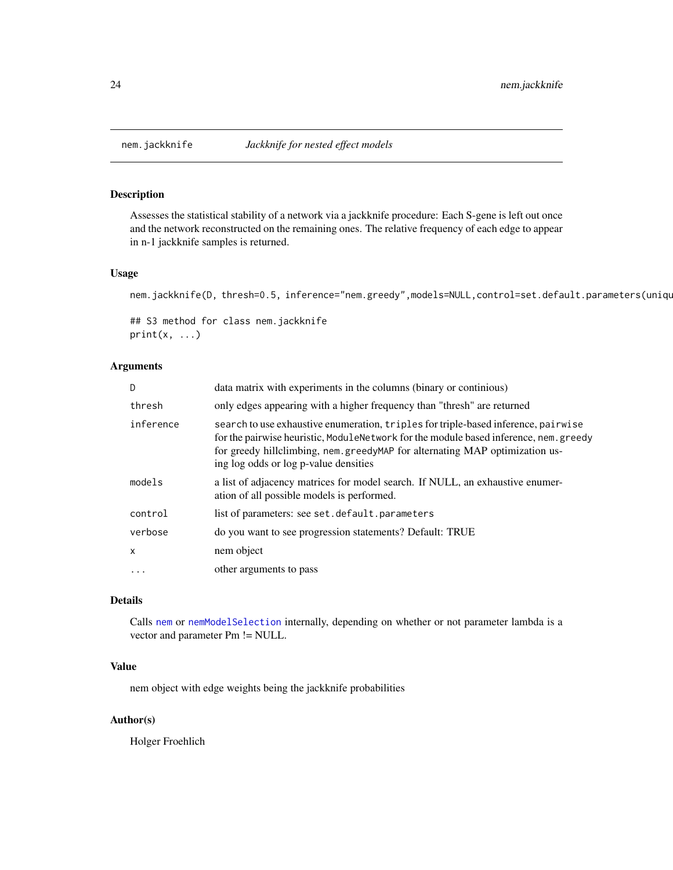<span id="page-23-1"></span><span id="page-23-0"></span>

### Description

Assesses the statistical stability of a network via a jackknife procedure: Each S-gene is left out once and the network reconstructed on the remaining ones. The relative frequency of each edge to appear in n-1 jackknife samples is returned.

### Usage

nem.jackknife(D, thresh=0.5, inference="nem.greedy",models=NULL,control=set.default.parameters(uniqu

```
## S3 method for class nem.jackknife
print(x, \ldots)
```
#### Arguments

| D         | data matrix with experiments in the columns (binary or continious)                                                                                                                                                                                                                                  |
|-----------|-----------------------------------------------------------------------------------------------------------------------------------------------------------------------------------------------------------------------------------------------------------------------------------------------------|
| thresh    | only edges appearing with a higher frequency than "thresh" are returned                                                                                                                                                                                                                             |
| inference | search to use exhaustive enumeration, triples for triple-based inference, pairwise<br>for the pairwise heuristic, ModuleNetwork for the module based inference, nem. greedy<br>for greedy hillclimbing, nem.greedyMAP for alternating MAP optimization us-<br>ing log odds or log p-value densities |
| models    | a list of adjacency matrices for model search. If NULL, an exhaustive enumer-<br>ation of all possible models is performed.                                                                                                                                                                         |
| control   | list of parameters: see set.default.parameters                                                                                                                                                                                                                                                      |
| verbose   | do you want to see progression statements? Default: TRUE                                                                                                                                                                                                                                            |
| X         | nem object                                                                                                                                                                                                                                                                                          |
| $\ddots$  | other arguments to pass                                                                                                                                                                                                                                                                             |
|           |                                                                                                                                                                                                                                                                                                     |

#### Details

Calls [nem](#page-13-1) or [nemModelSelection](#page-24-1) internally, depending on whether or not parameter lambda is a vector and parameter Pm != NULL.

### Value

nem object with edge weights being the jackknife probabilities

### Author(s)

Holger Froehlich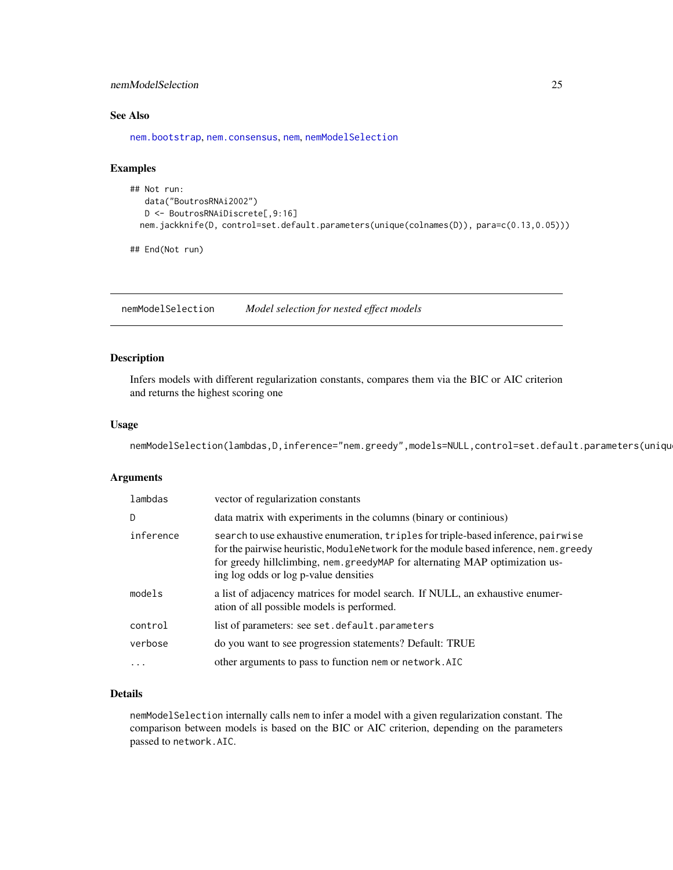### <span id="page-24-0"></span>nemModelSelection 25

### See Also

[nem.bootstrap](#page-16-1), [nem.consensus](#page-18-1), [nem](#page-13-1), [nemModelSelection](#page-24-1)

### Examples

```
## Not run:
  data("BoutrosRNAi2002")
  D <- BoutrosRNAiDiscrete[,9:16]
 nem.jackknife(D, control=set.default.parameters(unique(colnames(D)), para=c(0.13,0.05)))
```
## End(Not run)

<span id="page-24-1"></span>nemModelSelection *Model selection for nested effect models*

### Description

Infers models with different regularization constants, compares them via the BIC or AIC criterion and returns the highest scoring one

### Usage

nemModelSelection(lambdas,D,inference="nem.greedy",models=NULL,control=set.default.parameters(uniqu

### Arguments

| lambdas   | vector of regularization constants                                                                                                                                                                                                                                                                  |
|-----------|-----------------------------------------------------------------------------------------------------------------------------------------------------------------------------------------------------------------------------------------------------------------------------------------------------|
| D         | data matrix with experiments in the columns (binary or continuous)                                                                                                                                                                                                                                  |
| inference | search to use exhaustive enumeration, triples for triple-based inference, pairwise<br>for the pairwise heuristic, ModuleNetwork for the module based inference, nem. greedy<br>for greedy hillclimbing, nem.greedyMAP for alternating MAP optimization us-<br>ing log odds or log p-value densities |
| models    | a list of adjacency matrices for model search. If NULL, an exhaustive enumer-<br>ation of all possible models is performed.                                                                                                                                                                         |
| control   | list of parameters: see set.default.parameters                                                                                                                                                                                                                                                      |
| verbose   | do you want to see progression statements? Default: TRUE                                                                                                                                                                                                                                            |
|           | other arguments to pass to function nem or network. AIC                                                                                                                                                                                                                                             |

#### Details

nemModelSelection internally calls nem to infer a model with a given regularization constant. The comparison between models is based on the BIC or AIC criterion, depending on the parameters passed to network.AIC.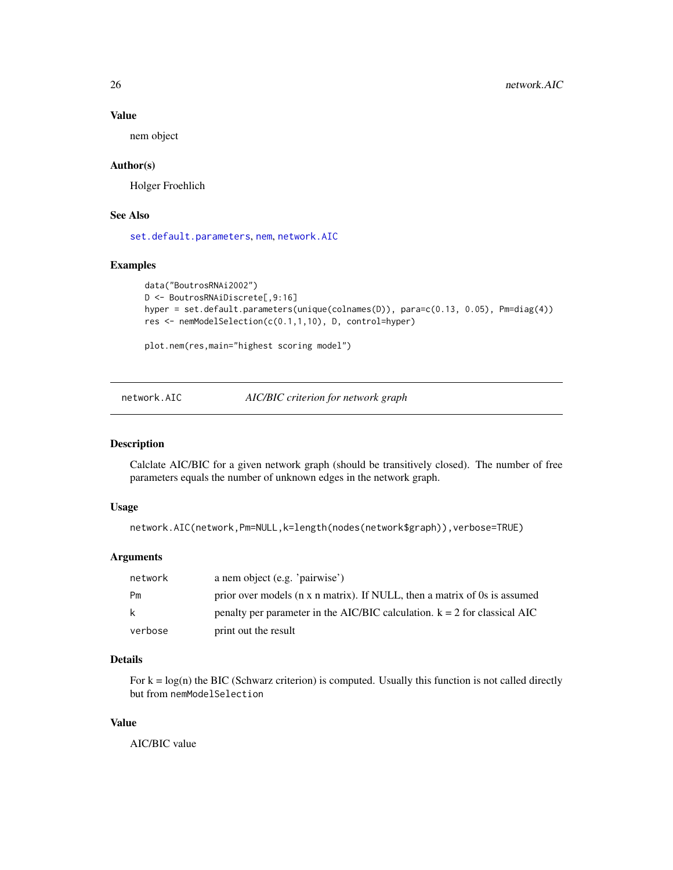### Value

nem object

### Author(s)

Holger Froehlich

### See Also

[set.default.parameters](#page-36-1), [nem](#page-13-1), [network.AIC](#page-25-1)

### Examples

```
data("BoutrosRNAi2002")
D <- BoutrosRNAiDiscrete[,9:16]
hyper = set.default.parameters(unique(colnames(D)), para=c(0.13, 0.05), Pm=diag(4))
res <- nemModelSelection(c(0.1,1,10), D, control=hyper)
```
plot.nem(res,main="highest scoring model")

<span id="page-25-1"></span>network.AIC *AIC/BIC criterion for network graph*

#### Description

Calclate AIC/BIC for a given network graph (should be transitively closed). The number of free parameters equals the number of unknown edges in the network graph.

#### Usage

```
network.AIC(network,Pm=NULL,k=length(nodes(network$graph)),verbose=TRUE)
```
### Arguments

| network | a nem object (e.g. 'pairwise')                                              |
|---------|-----------------------------------------------------------------------------|
| Pm      | prior over models (n x n matrix). If NULL, then a matrix of 0s is assumed   |
| k       | penalty per parameter in the AIC/BIC calculation. $k = 2$ for classical AIC |
| verbose | print out the result                                                        |

### Details

For  $k = log(n)$  the BIC (Schwarz criterion) is computed. Usually this function is not called directly but from nemModelSelection

### Value

AIC/BIC value

<span id="page-25-0"></span>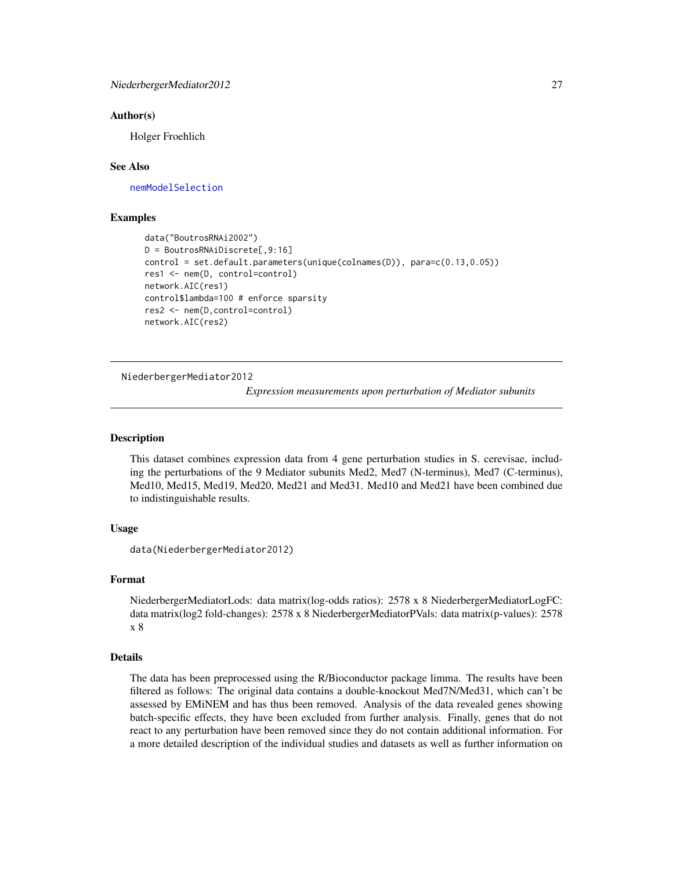#### <span id="page-26-0"></span>Author(s)

Holger Froehlich

#### See Also

[nemModelSelection](#page-24-1)

### Examples

```
data("BoutrosRNAi2002")
D = BoutrosRNAiDiscrete[,9:16]
control = set.default.parameters(unique(colnames(D)), para=c(0.13,0.05))
res1 <- nem(D, control=control)
network.AIC(res1)
control$lambda=100 # enforce sparsity
res2 <- nem(D,control=control)
network.AIC(res2)
```
NiederbergerMediator2012

*Expression measurements upon perturbation of Mediator subunits*

#### **Description**

This dataset combines expression data from 4 gene perturbation studies in S. cerevisae, including the perturbations of the 9 Mediator subunits Med2, Med7 (N-terminus), Med7 (C-terminus), Med10, Med15, Med19, Med20, Med21 and Med31. Med10 and Med21 have been combined due to indistinguishable results.

#### Usage

```
data(NiederbergerMediator2012)
```
#### Format

NiederbergerMediatorLods: data matrix(log-odds ratios): 2578 x 8 NiederbergerMediatorLogFC: data matrix(log2 fold-changes): 2578 x 8 NiederbergerMediatorPVals: data matrix(p-values): 2578 x 8

#### Details

The data has been preprocessed using the R/Bioconductor package limma. The results have been filtered as follows: The original data contains a double-knockout Med7N/Med31, which can't be assessed by EMiNEM and has thus been removed. Analysis of the data revealed genes showing batch-specific effects, they have been excluded from further analysis. Finally, genes that do not react to any perturbation have been removed since they do not contain additional information. For a more detailed description of the individual studies and datasets as well as further information on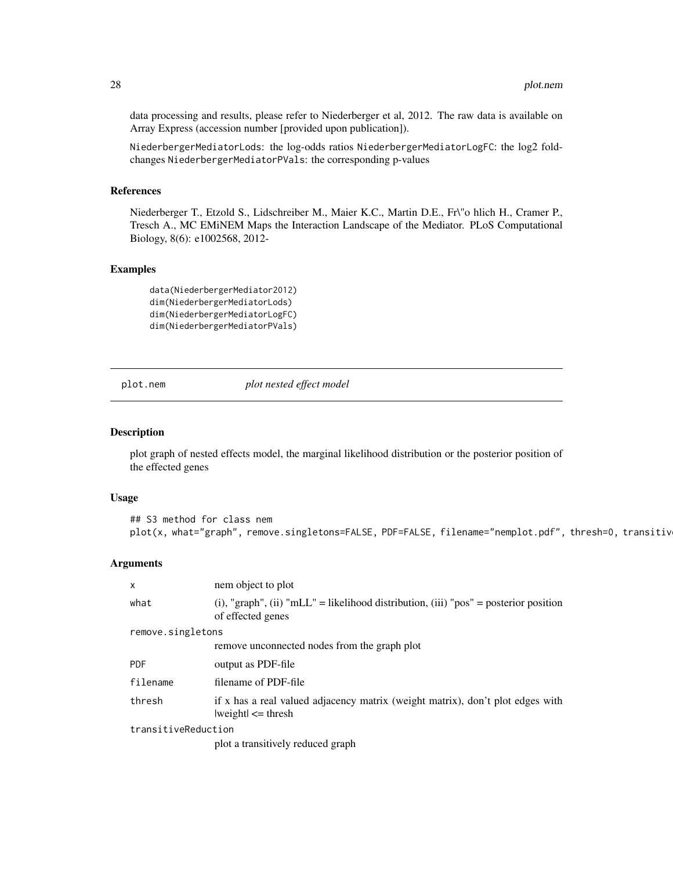data processing and results, please refer to Niederberger et al, 2012. The raw data is available on Array Express (accession number [provided upon publication]).

NiederbergerMediatorLods: the log-odds ratios NiederbergerMediatorLogFC: the log2 foldchanges NiederbergerMediatorPVals: the corresponding p-values

#### References

Niederberger T., Etzold S., Lidschreiber M., Maier K.C., Martin D.E., Fr\"o hlich H., Cramer P., Tresch A., MC EMiNEM Maps the Interaction Landscape of the Mediator. PLoS Computational Biology, 8(6): e1002568, 2012-

#### Examples

data(NiederbergerMediator2012) dim(NiederbergerMediatorLods) dim(NiederbergerMediatorLogFC) dim(NiederbergerMediatorPVals)

<span id="page-27-1"></span>plot.nem *plot nested effect model*

#### Description

plot graph of nested effects model, the marginal likelihood distribution or the posterior position of the effected genes

#### Usage

```
## S3 method for class nem
plot(x, what="graph", remove.singletons=FALSE, PDF=FALSE, filename="nemplot.pdf", thresh=0, transitiv
```
### Arguments

| X                   | nem object to plot                                                                                        |
|---------------------|-----------------------------------------------------------------------------------------------------------|
| what                | (i), "graph", (ii) "mLL" = likelihood distribution, (iii) "pos" = posterior position<br>of effected genes |
| remove.singletons   |                                                                                                           |
|                     | remove unconnected nodes from the graph plot                                                              |
| <b>PDF</b>          | output as PDF-file                                                                                        |
| filename            | filename of PDF-file                                                                                      |
| thresh              | if x has a real valued adjacency matrix (weight matrix), don't plot edges with<br>$ weight  \leq thresh$  |
| transitiveReduction |                                                                                                           |
|                     | plot a transitively reduced graph                                                                         |

<span id="page-27-0"></span>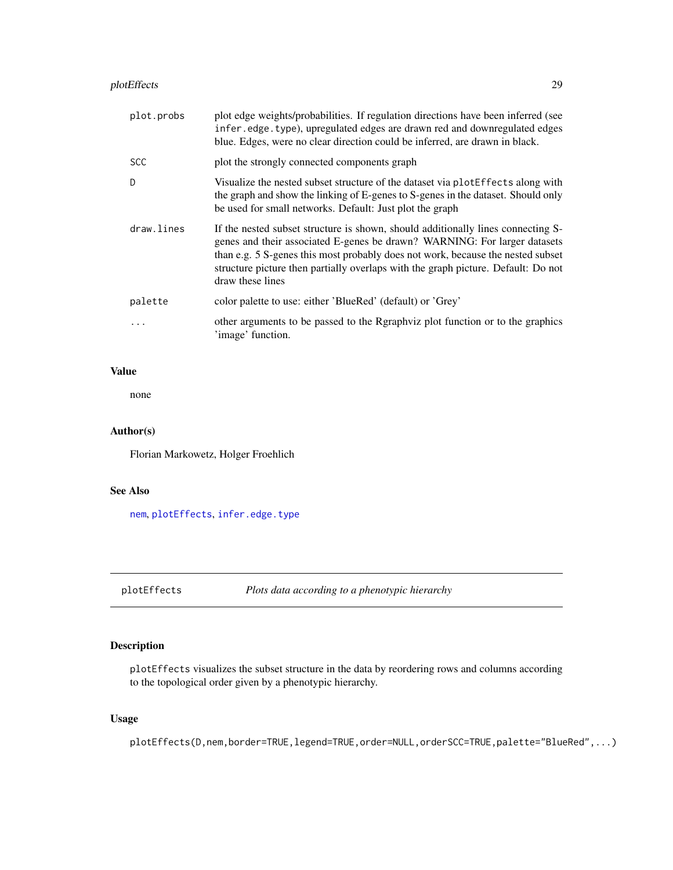<span id="page-28-0"></span>

| plot.probs | plot edge weights/probabilities. If regulation directions have been inferred (see<br>infer.edge.type), upregulated edges are drawn red and downregulated edges<br>blue. Edges, were no clear direction could be inferred, are drawn in black.                                                                                                             |
|------------|-----------------------------------------------------------------------------------------------------------------------------------------------------------------------------------------------------------------------------------------------------------------------------------------------------------------------------------------------------------|
| <b>SCC</b> | plot the strongly connected components graph                                                                                                                                                                                                                                                                                                              |
| D          | Visualize the nested subset structure of the dataset via plotEffects along with<br>the graph and show the linking of E-genes to S-genes in the dataset. Should only<br>be used for small networks. Default: Just plot the graph                                                                                                                           |
| draw.lines | If the nested subset structure is shown, should additionally lines connecting S-<br>genes and their associated E-genes be drawn? WARNING: For larger datasets<br>than e.g. 5 S-genes this most probably does not work, because the nested subset<br>structure picture then partially overlaps with the graph picture. Default: Do not<br>draw these lines |
| palette    | color palette to use: either 'BlueRed' (default) or 'Grey'                                                                                                                                                                                                                                                                                                |
| .          | other arguments to be passed to the Rgraphyiz plot function or to the graphics<br>'image' function.                                                                                                                                                                                                                                                       |

### Value

none

### Author(s)

Florian Markowetz, Holger Froehlich

### See Also

[nem](#page-13-1), [plotEffects](#page-28-1), [infer.edge.type](#page-9-1)

<span id="page-28-1"></span>plotEffects *Plots data according to a phenotypic hierarchy*

### Description

plotEffects visualizes the subset structure in the data by reordering rows and columns according to the topological order given by a phenotypic hierarchy.

### Usage

plotEffects(D,nem,border=TRUE,legend=TRUE,order=NULL,orderSCC=TRUE,palette="BlueRed",...)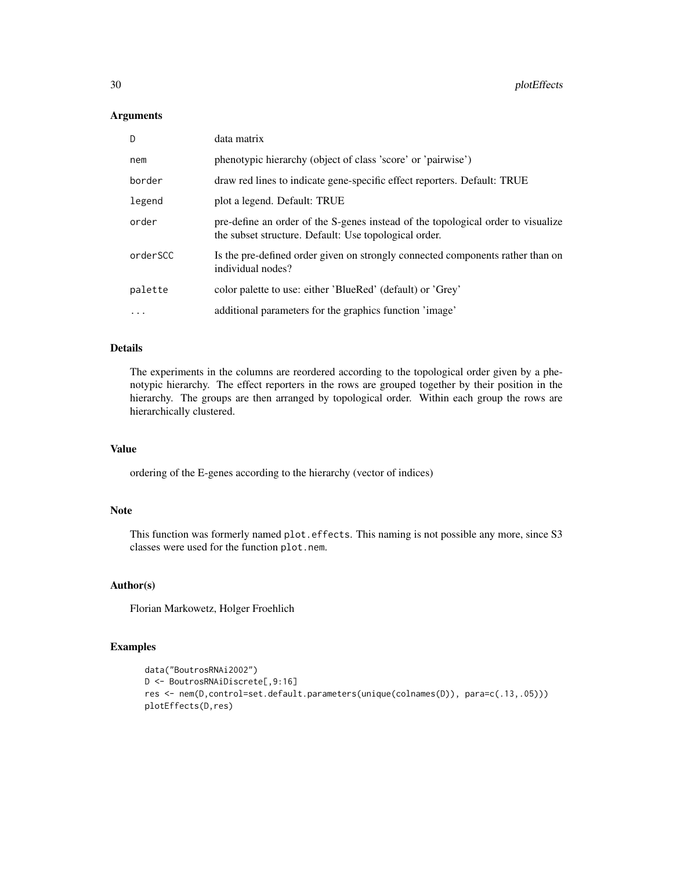#### Arguments

| D        | data matrix                                                                                                                               |
|----------|-------------------------------------------------------------------------------------------------------------------------------------------|
| nem      | phenotypic hierarchy (object of class 'score' or 'pairwise')                                                                              |
| border   | draw red lines to indicate gene-specific effect reporters. Default: TRUE                                                                  |
| legend   | plot a legend. Default: TRUE                                                                                                              |
| order    | pre-define an order of the S-genes instead of the topological order to visualize<br>the subset structure. Default: Use topological order. |
| orderSCC | Is the pre-defined order given on strongly connected components rather than on<br>individual nodes?                                       |
| palette  | color palette to use: either 'BlueRed' (default) or 'Grey'                                                                                |
| $\cdots$ | additional parameters for the graphics function 'image'                                                                                   |

### Details

The experiments in the columns are reordered according to the topological order given by a phenotypic hierarchy. The effect reporters in the rows are grouped together by their position in the hierarchy. The groups are then arranged by topological order. Within each group the rows are hierarchically clustered.

### Value

ordering of the E-genes according to the hierarchy (vector of indices)

#### Note

This function was formerly named plot.effects. This naming is not possible any more, since S3 classes were used for the function plot.nem.

### Author(s)

Florian Markowetz, Holger Froehlich

### Examples

```
data("BoutrosRNAi2002")
D <- BoutrosRNAiDiscrete[,9:16]
res <- nem(D,control=set.default.parameters(unique(colnames(D)), para=c(.13,.05)))
plotEffects(D,res)
```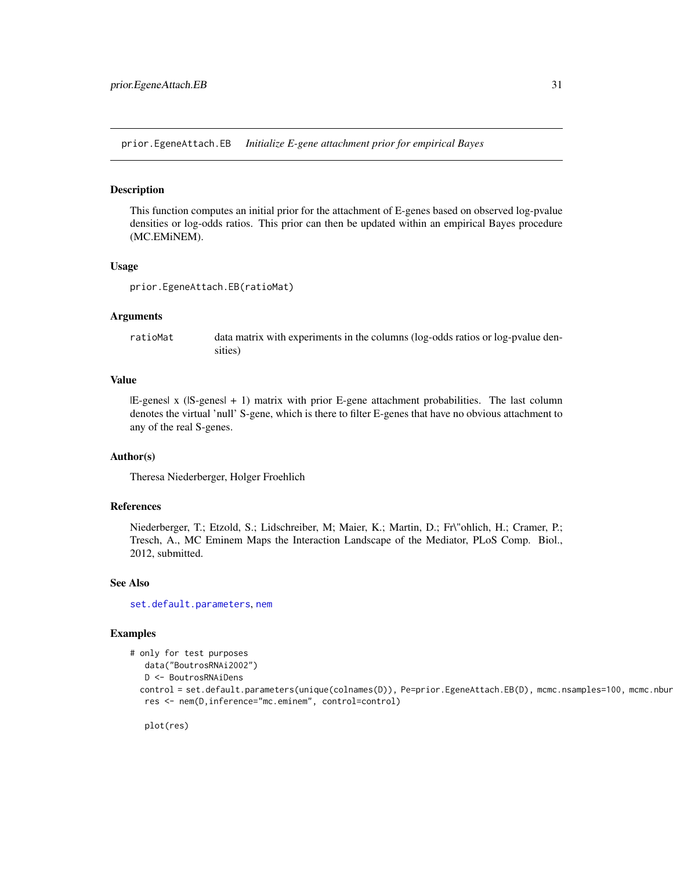<span id="page-30-0"></span>prior.EgeneAttach.EB *Initialize E-gene attachment prior for empirical Bayes*

#### **Description**

This function computes an initial prior for the attachment of E-genes based on observed log-pvalue densities or log-odds ratios. This prior can then be updated within an empirical Bayes procedure (MC.EMiNEM).

#### Usage

prior.EgeneAttach.EB(ratioMat)

### Arguments

ratioMat data matrix with experiments in the columns (log-odds ratios or log-pvalue densities)

### Value

|E-genes| x (|S-genes| + 1) matrix with prior E-gene attachment probabilities. The last column denotes the virtual 'null' S-gene, which is there to filter E-genes that have no obvious attachment to any of the real S-genes.

#### Author(s)

Theresa Niederberger, Holger Froehlich

#### References

Niederberger, T.; Etzold, S.; Lidschreiber, M; Maier, K.; Martin, D.; Fr\"ohlich, H.; Cramer, P.; Tresch, A., MC Eminem Maps the Interaction Landscape of the Mediator, PLoS Comp. Biol., 2012, submitted.

#### See Also

[set.default.parameters](#page-36-1), [nem](#page-13-1)

### Examples

```
# only for test purposes
```
data("BoutrosRNAi2002")

```
D <- BoutrosRNAiDens
```
control = set.default.parameters(unique(colnames(D)), Pe=prior.EgeneAttach.EB(D), mcmc.nsamples=100, mcmc.nbur res <- nem(D,inference="mc.eminem", control=control)

plot(res)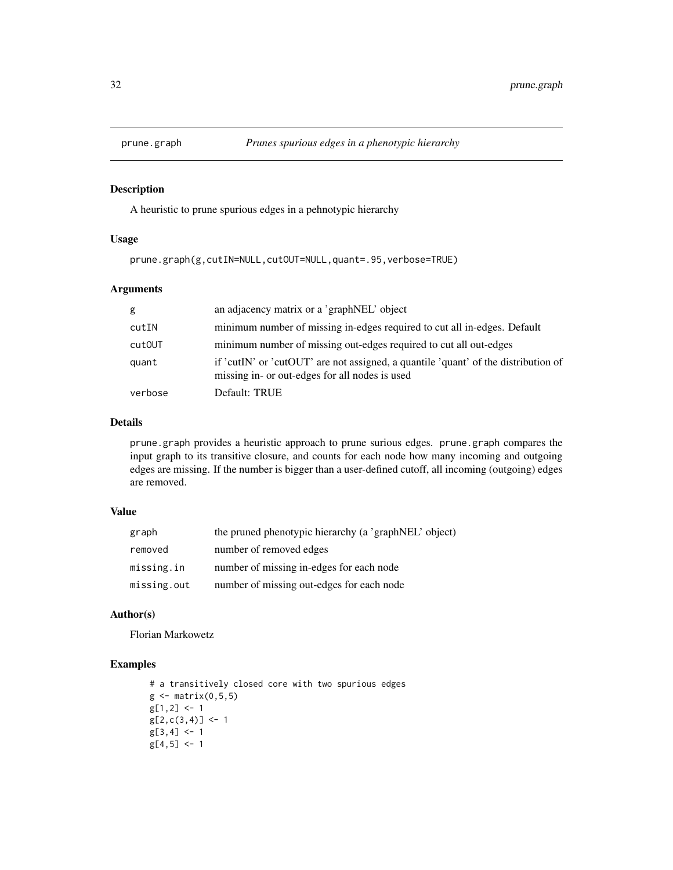<span id="page-31-1"></span><span id="page-31-0"></span>

### Description

A heuristic to prune spurious edges in a pehnotypic hierarchy

#### Usage

prune.graph(g,cutIN=NULL,cutOUT=NULL,quant=.95,verbose=TRUE)

### Arguments

| g       | an adjacency matrix or a 'graphNEL' object                                                                                           |
|---------|--------------------------------------------------------------------------------------------------------------------------------------|
| cutIN   | minimum number of missing in-edges required to cut all in-edges. Default                                                             |
| cut0UT  | minimum number of missing out-edges required to cut all out-edges                                                                    |
| quant   | if 'cutIN' or 'cutOUT' are not assigned, a quantile 'quant' of the distribution of<br>missing in- or out-edges for all nodes is used |
| verbose | Default: TRUE                                                                                                                        |

### Details

prune.graph provides a heuristic approach to prune surious edges. prune.graph compares the input graph to its transitive closure, and counts for each node how many incoming and outgoing edges are missing. If the number is bigger than a user-defined cutoff, all incoming (outgoing) edges are removed.

### Value

| graph       | the pruned phenotypic hierarchy (a 'graphNEL' object) |
|-------------|-------------------------------------------------------|
| removed     | number of removed edges                               |
| missing.in  | number of missing in-edges for each node              |
| missing.out | number of missing out-edges for each node             |

#### Author(s)

Florian Markowetz

### Examples

```
# a transitively closed core with two spurious edges
g \leftarrow matrix(0, 5, 5)g[1,2] <- 1
g[2,c(3,4)] <- 1
g[3, 4] <- 1
g[4,5] < -1
```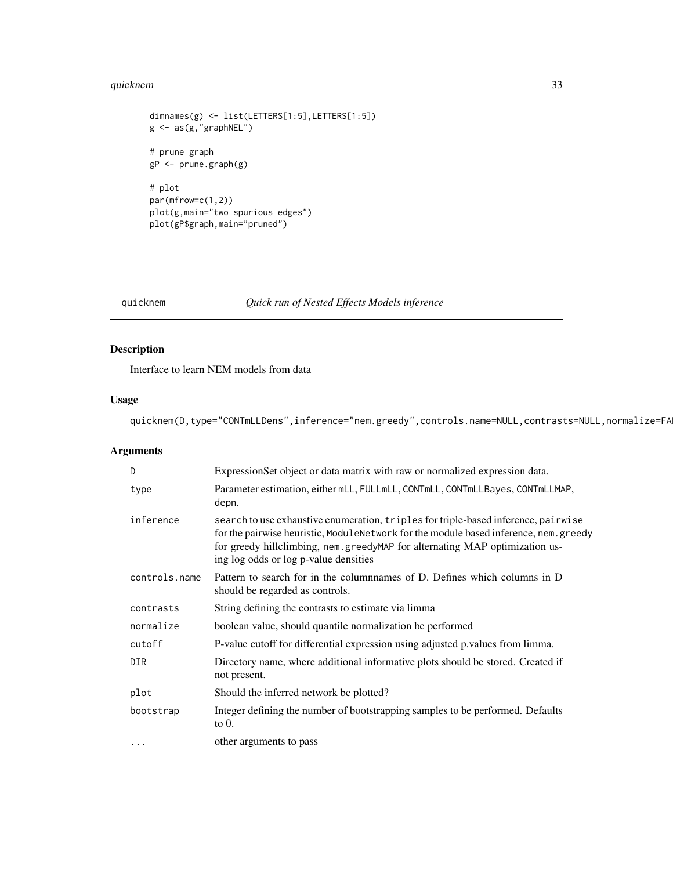#### <span id="page-32-0"></span>quicknem 33

```
dimnames(g) <- list(LETTERS[1:5],LETTERS[1:5])
g <- as(g,"graphNEL")
# prune graph
gP <- prune.graph(g)
# plot
par(mfrow=c(1,2))
plot(g,main="two spurious edges")
plot(gP$graph,main="pruned")
```
quicknem *Quick run of Nested Effects Models inference*

### Description

Interface to learn NEM models from data

### Usage

quicknem(D,type="CONTmLLDens",inference="nem.greedy",controls.name=NULL,contrasts=NULL,normalize=FA

### Arguments

| D             | ExpressionSet object or data matrix with raw or normalized expression data.                                                                                                                                                                                                                         |
|---------------|-----------------------------------------------------------------------------------------------------------------------------------------------------------------------------------------------------------------------------------------------------------------------------------------------------|
| type          | Parameter estimation, either mLL, FULLmLL, CONTmLL, CONTmLLBayes, CONTmLLMAP,<br>depn.                                                                                                                                                                                                              |
| inference     | search to use exhaustive enumeration, triples for triple-based inference, pairwise<br>for the pairwise heuristic, ModuleNetwork for the module based inference, nem. greedy<br>for greedy hillclimbing, nem.greedyMAP for alternating MAP optimization us-<br>ing log odds or log p-value densities |
| controls.name | Pattern to search for in the columnnames of D. Defines which columns in D<br>should be regarded as controls.                                                                                                                                                                                        |
| contrasts     | String defining the contrasts to estimate via limma                                                                                                                                                                                                                                                 |
| normalize     | boolean value, should quantile normalization be performed                                                                                                                                                                                                                                           |
| cutoff        | P-value cutoff for differential expression using adjusted p.values from limma.                                                                                                                                                                                                                      |
| <b>DIR</b>    | Directory name, where additional informative plots should be stored. Created if<br>not present.                                                                                                                                                                                                     |
| plot          | Should the inferred network be plotted?                                                                                                                                                                                                                                                             |
| bootstrap     | Integer defining the number of bootstrapping samples to be performed. Defaults<br>to $0$ .                                                                                                                                                                                                          |
| $\cdots$      | other arguments to pass                                                                                                                                                                                                                                                                             |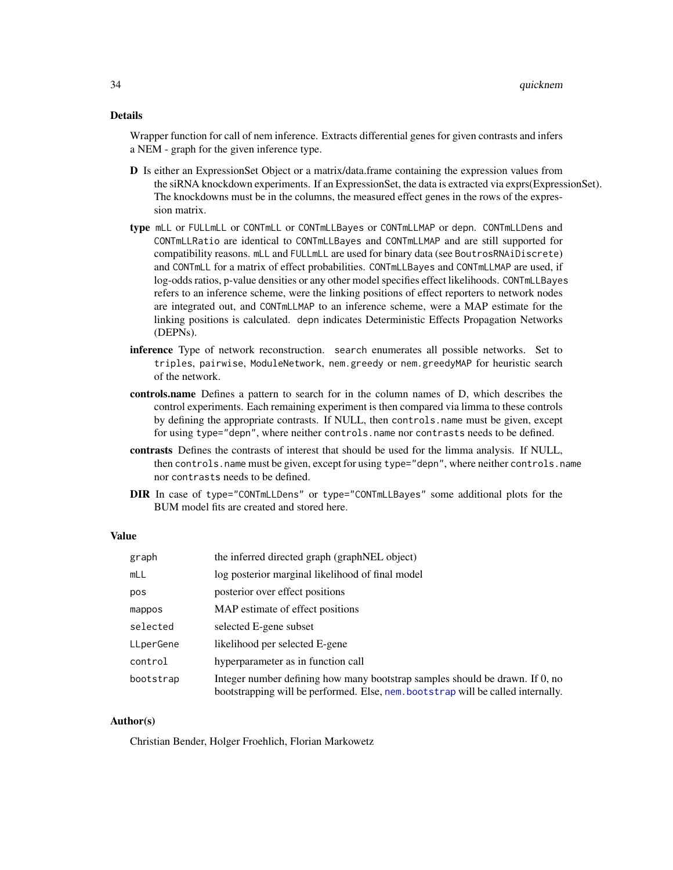Wrapper function for call of nem inference. Extracts differential genes for given contrasts and infers a NEM - graph for the given inference type.

- D Is either an ExpressionSet Object or a matrix/data.frame containing the expression values from the siRNA knockdown experiments. If an ExpressionSet, the data is extracted via exprs(ExpressionSet). The knockdowns must be in the columns, the measured effect genes in the rows of the expression matrix.
- type mLL or FULLmLL or CONTmLL or CONTmLLBayes or CONTmLLMAP or depn. CONTmLLDens and CONTmLLRatio are identical to CONTmLLBayes and CONTmLLMAP and are still supported for compatibility reasons. mLL and FULLmLL are used for binary data (see BoutrosRNAiDiscrete) and CONTmLL for a matrix of effect probabilities. CONTmLLBayes and CONTmLLMAP are used, if log-odds ratios, p-value densities or any other model specifies effect likelihoods. CONTmLLBayes refers to an inference scheme, were the linking positions of effect reporters to network nodes are integrated out, and CONTmLLMAP to an inference scheme, were a MAP estimate for the linking positions is calculated. depn indicates Deterministic Effects Propagation Networks (DEPNs).
- inference Type of network reconstruction. search enumerates all possible networks. Set to triples, pairwise, ModuleNetwork, nem.greedy or nem.greedyMAP for heuristic search of the network.
- controls.name Defines a pattern to search for in the column names of D, which describes the control experiments. Each remaining experiment is then compared via limma to these controls by defining the appropriate contrasts. If NULL, then controls.name must be given, except for using type="depn", where neither controls.name nor contrasts needs to be defined.
- contrasts Defines the contrasts of interest that should be used for the limma analysis. If NULL, then controls.name must be given, except for using type="depn", where neither controls.name nor contrasts needs to be defined.
- DIR In case of type="CONTmLLDens" or type="CONTmLLBayes" some additional plots for the BUM model fits are created and stored here.

#### Value

| graph     | the inferred directed graph (graphNEL object)                                                                                                                    |
|-----------|------------------------------------------------------------------------------------------------------------------------------------------------------------------|
| mLL       | log posterior marginal likelihood of final model                                                                                                                 |
| pos       | posterior over effect positions                                                                                                                                  |
| mappos    | MAP estimate of effect positions                                                                                                                                 |
| selected  | selected E-gene subset                                                                                                                                           |
| LLperGene | likelihood per selected E-gene                                                                                                                                   |
| control   | hyperparameter as in function call                                                                                                                               |
| bootstrap | Integer number defining how many bootstrap samples should be drawn. If 0, no<br>bootstrapping will be performed. Else, nem. bootstrap will be called internally. |

#### Author(s)

Christian Bender, Holger Froehlich, Florian Markowetz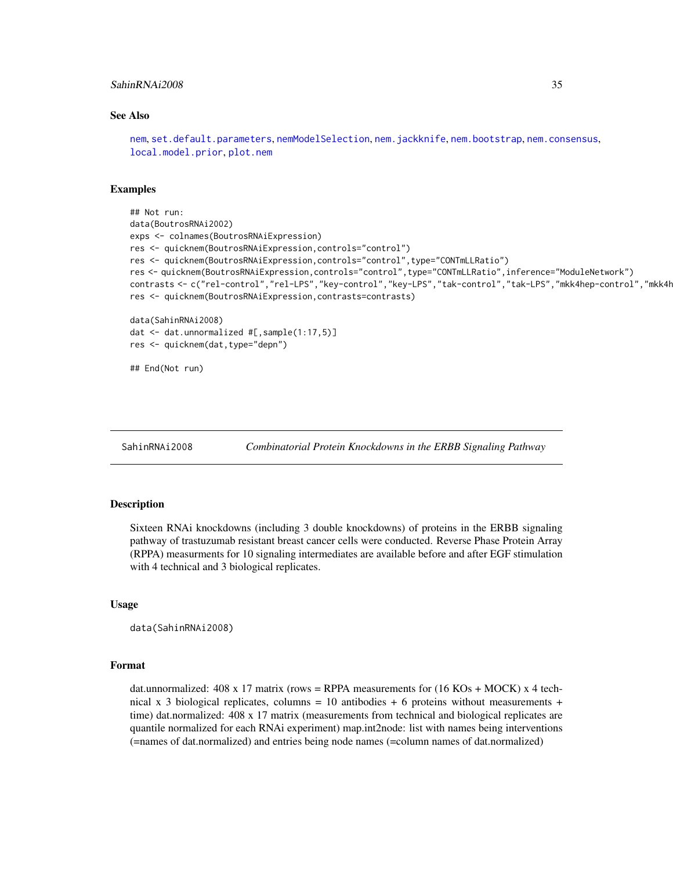#### <span id="page-34-0"></span>SahinRNAi2008 35

#### See Also

[nem](#page-13-1), [set.default.parameters](#page-36-1), [nemModelSelection](#page-24-1), [nem.jackknife](#page-23-1), [nem.bootstrap](#page-16-1), [nem.consensus](#page-18-1), [local.model.prior](#page-12-1), [plot.nem](#page-27-1)

### Examples

```
## Not run:
data(BoutrosRNAi2002)
exps <- colnames(BoutrosRNAiExpression)
res <- quicknem(BoutrosRNAiExpression,controls="control")
res <- quicknem(BoutrosRNAiExpression,controls="control",type="CONTmLLRatio")
res <- quicknem(BoutrosRNAiExpression,controls="control",type="CONTmLLRatio",inference="ModuleNetwork")
contrasts <- c("rel-control","rel-LPS","key-control","key-LPS","tak-control","tak-LPS","mkk4hep-control","mkk4h
res <- quicknem(BoutrosRNAiExpression,contrasts=contrasts)
data(SahinRNAi2008)
dat <- dat.unnormalized #[,sample(1:17,5)]
res <- quicknem(dat,type="depn")
## End(Not run)
```
SahinRNAi2008 *Combinatorial Protein Knockdowns in the ERBB Signaling Pathway*

#### Description

Sixteen RNAi knockdowns (including 3 double knockdowns) of proteins in the ERBB signaling pathway of trastuzumab resistant breast cancer cells were conducted. Reverse Phase Protein Array (RPPA) measurments for 10 signaling intermediates are available before and after EGF stimulation with 4 technical and 3 biological replicates.

#### Usage

```
data(SahinRNAi2008)
```
#### Format

dat.unnormalized:  $408 \times 17$  matrix (rows = RPPA measurements for  $(16 \text{ KOs} + \text{MOCK}) \times 4$  technical x 3 biological replicates, columns = 10 antibodies + 6 proteins without measurements + time) dat.normalized: 408 x 17 matrix (measurements from technical and biological replicates are quantile normalized for each RNAi experiment) map.int2node: list with names being interventions (=names of dat.normalized) and entries being node names (=column names of dat.normalized)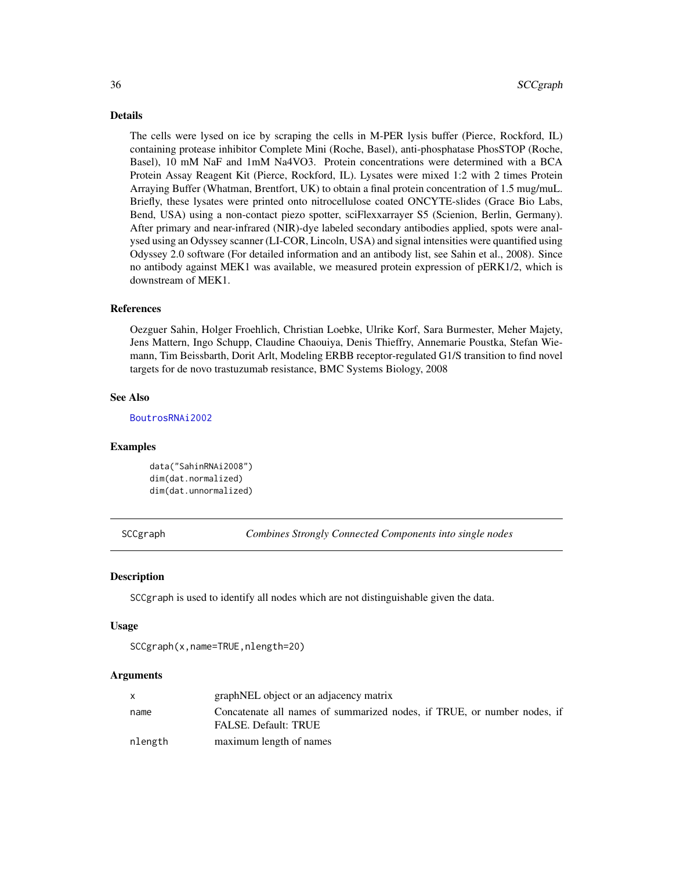The cells were lysed on ice by scraping the cells in M-PER lysis buffer (Pierce, Rockford, IL) containing protease inhibitor Complete Mini (Roche, Basel), anti-phosphatase PhosSTOP (Roche, Basel), 10 mM NaF and 1mM Na4VO3. Protein concentrations were determined with a BCA Protein Assay Reagent Kit (Pierce, Rockford, IL). Lysates were mixed 1:2 with 2 times Protein Arraying Buffer (Whatman, Brentfort, UK) to obtain a final protein concentration of 1.5 mug/muL. Briefly, these lysates were printed onto nitrocellulose coated ONCYTE-slides (Grace Bio Labs, Bend, USA) using a non-contact piezo spotter, sciFlexxarrayer S5 (Scienion, Berlin, Germany). After primary and near-infrared (NIR)-dye labeled secondary antibodies applied, spots were analysed using an Odyssey scanner (LI-COR, Lincoln, USA) and signal intensities were quantified using Odyssey 2.0 software (For detailed information and an antibody list, see Sahin et al., 2008). Since no antibody against MEK1 was available, we measured protein expression of pERK1/2, which is downstream of MEK1.

### References

Oezguer Sahin, Holger Froehlich, Christian Loebke, Ulrike Korf, Sara Burmester, Meher Majety, Jens Mattern, Ingo Schupp, Claudine Chaouiya, Denis Thieffry, Annemarie Poustka, Stefan Wiemann, Tim Beissbarth, Dorit Arlt, Modeling ERBB receptor-regulated G1/S transition to find novel targets for de novo trastuzumab resistance, BMC Systems Biology, 2008

#### See Also

[BoutrosRNAi2002](#page-2-1)

#### Examples

data("SahinRNAi2008") dim(dat.normalized) dim(dat.unnormalized)

SCCgraph *Combines Strongly Connected Components into single nodes*

#### Description

SCCgraph is used to identify all nodes which are not distinguishable given the data.

#### Usage

```
SCCgraph(x,name=TRUE,nlength=20)
```
### Arguments

|         | graphNEL object or an adjacency matrix                                                                 |
|---------|--------------------------------------------------------------------------------------------------------|
| name    | Concatenate all names of summarized nodes, if TRUE, or number nodes, if<br><b>FALSE.</b> Default: TRUE |
| nlength | maximum length of names                                                                                |

<span id="page-35-0"></span>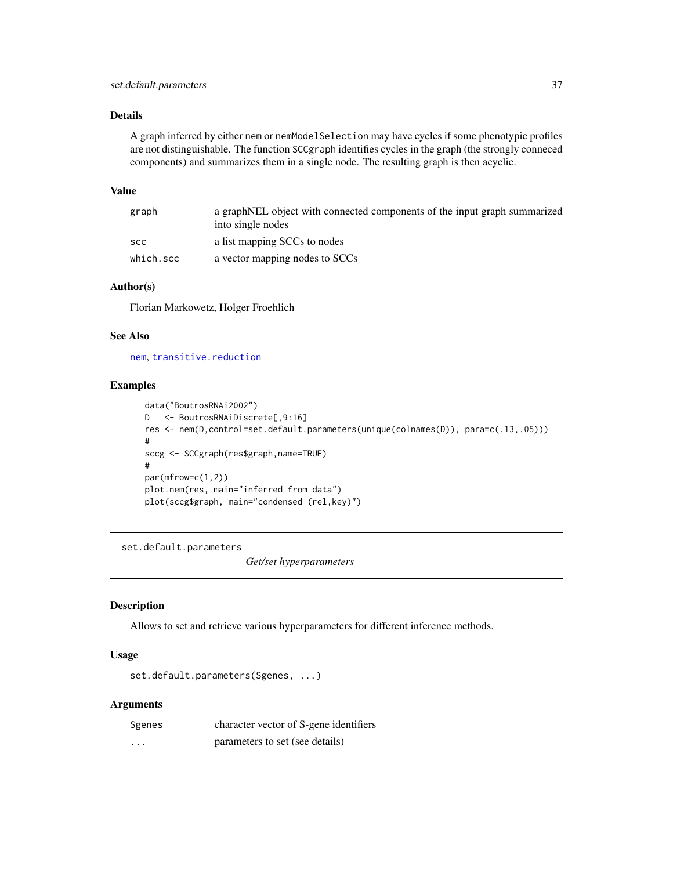<span id="page-36-0"></span>A graph inferred by either nem or nemModelSelection may have cycles if some phenotypic profiles are not distinguishable. The function SCCgraph identifies cycles in the graph (the strongly conneced components) and summarizes them in a single node. The resulting graph is then acyclic.

#### Value

| graph     | a graphNEL object with connected components of the input graph summarized<br>into single nodes |
|-----------|------------------------------------------------------------------------------------------------|
| scc       | a list mapping SCCs to nodes                                                                   |
| which.scc | a vector mapping nodes to SCCs                                                                 |

### Author(s)

Florian Markowetz, Holger Froehlich

### See Also

[nem](#page-13-1), [transitive.reduction](#page-43-1)

#### Examples

```
data("BoutrosRNAi2002")
D <- BoutrosRNAiDiscrete[,9:16]
res <- nem(D,control=set.default.parameters(unique(colnames(D)), para=c(.13,.05)))
#
sccg <- SCCgraph(res$graph,name=TRUE)
#
par(mfrow=c(1,2))
plot.nem(res, main="inferred from data")
plot(sccg$graph, main="condensed (rel,key)")
```
<span id="page-36-1"></span>set.default.parameters

*Get/set hyperparameters*

#### Description

Allows to set and retrieve various hyperparameters for different inference methods.

#### Usage

set.default.parameters(Sgenes, ...)

#### Arguments

| Sgenes | character vector of S-gene identifiers |
|--------|----------------------------------------|
| .      | parameters to set (see details)        |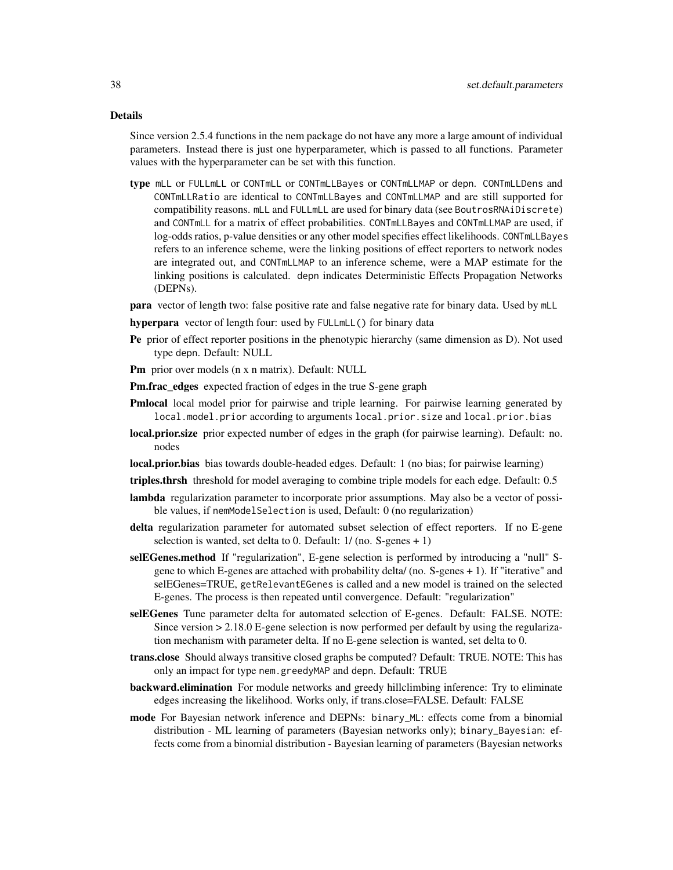Since version 2.5.4 functions in the nem package do not have any more a large amount of individual parameters. Instead there is just one hyperparameter, which is passed to all functions. Parameter values with the hyperparameter can be set with this function.

- type mLL or FULLmLL or CONTmLL or CONTmLLBayes or CONTmLLMAP or depn. CONTmLLDens and CONTmLLRatio are identical to CONTmLLBayes and CONTmLLMAP and are still supported for compatibility reasons. mLL and FULLmLL are used for binary data (see BoutrosRNAiDiscrete) and CONTmLL for a matrix of effect probabilities. CONTmLLBayes and CONTmLLMAP are used, if log-odds ratios, p-value densities or any other model specifies effect likelihoods. CONTmLLBayes refers to an inference scheme, were the linking positions of effect reporters to network nodes are integrated out, and CONTmLLMAP to an inference scheme, were a MAP estimate for the linking positions is calculated. depn indicates Deterministic Effects Propagation Networks (DEPNs).
- para vector of length two: false positive rate and false negative rate for binary data. Used by mLL
- hyperpara vector of length four: used by FULLmLL() for binary data
- Pe prior of effect reporter positions in the phenotypic hierarchy (same dimension as D). Not used type depn. Default: NULL
- Pm prior over models (n x n matrix). Default: NULL
- Pm.frac\_edges expected fraction of edges in the true S-gene graph
- **Pmlocal** local model prior for pairwise and triple learning. For pairwise learning generated by local.model.prior according to arguments local.prior.size and local.prior.bias
- local.prior.size prior expected number of edges in the graph (for pairwise learning). Default: no. nodes
- **local.prior.bias** bias towards double-headed edges. Default: 1 (no bias; for pairwise learning)
- triples.thrsh threshold for model averaging to combine triple models for each edge. Default: 0.5
- **lambda** regularization parameter to incorporate prior assumptions. May also be a vector of possible values, if nemModelSelection is used, Default: 0 (no regularization)
- delta regularization parameter for automated subset selection of effect reporters. If no E-gene selection is wanted, set delta to 0. Default: 1/ (no. S-genes + 1)
- selEGenes.method If "regularization", E-gene selection is performed by introducing a "null" Sgene to which E-genes are attached with probability delta/ (no. S-genes + 1). If "iterative" and selEGenes=TRUE, getRelevantEGenes is called and a new model is trained on the selected E-genes. The process is then repeated until convergence. Default: "regularization"
- selEGenes Tune parameter delta for automated selection of E-genes. Default: FALSE. NOTE: Since version > 2.18.0 E-gene selection is now performed per default by using the regularization mechanism with parameter delta. If no E-gene selection is wanted, set delta to 0.
- trans.close Should always transitive closed graphs be computed? Default: TRUE. NOTE: This has only an impact for type nem.greedyMAP and depn. Default: TRUE
- backward.elimination For module networks and greedy hillclimbing inference: Try to eliminate edges increasing the likelihood. Works only, if trans.close=FALSE. Default: FALSE
- mode For Bayesian network inference and DEPNs: binary\_ML: effects come from a binomial distribution - ML learning of parameters (Bayesian networks only); binary\_Bayesian: effects come from a binomial distribution - Bayesian learning of parameters (Bayesian networks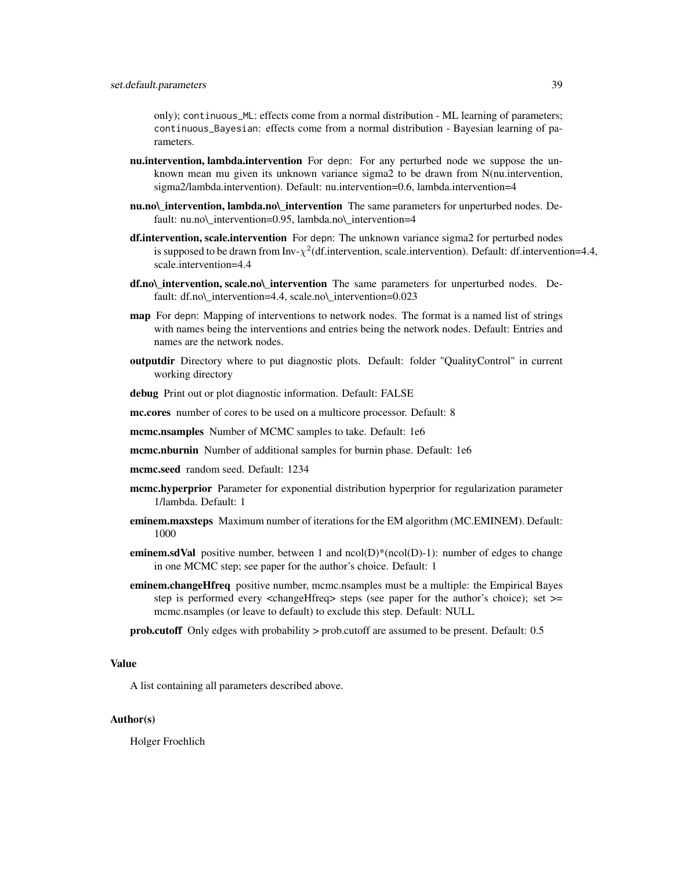only); continuous\_ML: effects come from a normal distribution - ML learning of parameters; continuous\_Bayesian: effects come from a normal distribution - Bayesian learning of parameters.

- **nu.intervention, lambda.intervention** For depn: For any perturbed node we suppose the unknown mean mu given its unknown variance sigma2 to be drawn from N(nu.intervention, sigma2/lambda.intervention). Default: nu.intervention=0.6, lambda.intervention=4
- nu.no\\_intervention, lambda.no\\_intervention The same parameters for unperturbed nodes. Default: nu.no\ intervention=0.95, lambda.no\ intervention=4
- df.intervention, scale.intervention For depn: The unknown variance sigma2 for perturbed nodes is supposed to be drawn from Inv- $\chi^2$ (df.intervention, scale.intervention). Default: df.intervention=4.4, scale.intervention=4.4
- df.no\\_intervention, scale.no\\_intervention The same parameters for unperturbed nodes. Default: df.no\\_intervention=4.4, scale.no\\_intervention=0.023
- **map** For depn: Mapping of interventions to network nodes. The format is a named list of strings with names being the interventions and entries being the network nodes. Default: Entries and names are the network nodes.
- outputdir Directory where to put diagnostic plots. Default: folder "QualityControl" in current working directory

debug Print out or plot diagnostic information. Default: FALSE

mc.cores number of cores to be used on a multicore processor. Default: 8

- mcmc.nsamples Number of MCMC samples to take. Default: 1e6
- mcmc.nburnin Number of additional samples for burnin phase. Default: 1e6
- mcmc.seed random seed. Default: 1234
- mcmc.hyperprior Parameter for exponential distribution hyperprior for regularization parameter 1/lambda. Default: 1
- eminem.maxsteps Maximum number of iterations for the EM algorithm (MC.EMINEM). Default: 1000
- **eminem.sdVal** positive number, between 1 and  $ncol(D)*(ncol(D)-1)$ : number of edges to change in one MCMC step; see paper for the author's choice. Default: 1
- eminem.changeHfreq positive number, mcmc.nsamples must be a multiple: the Empirical Bayes step is performed every <changeHfreq> steps (see paper for the author's choice); set >= mcmc.nsamples (or leave to default) to exclude this step. Default: NULL
- prob.cutoff Only edges with probability > prob.cutoff are assumed to be present. Default: 0.5

#### Value

A list containing all parameters described above.

#### Author(s)

Holger Froehlich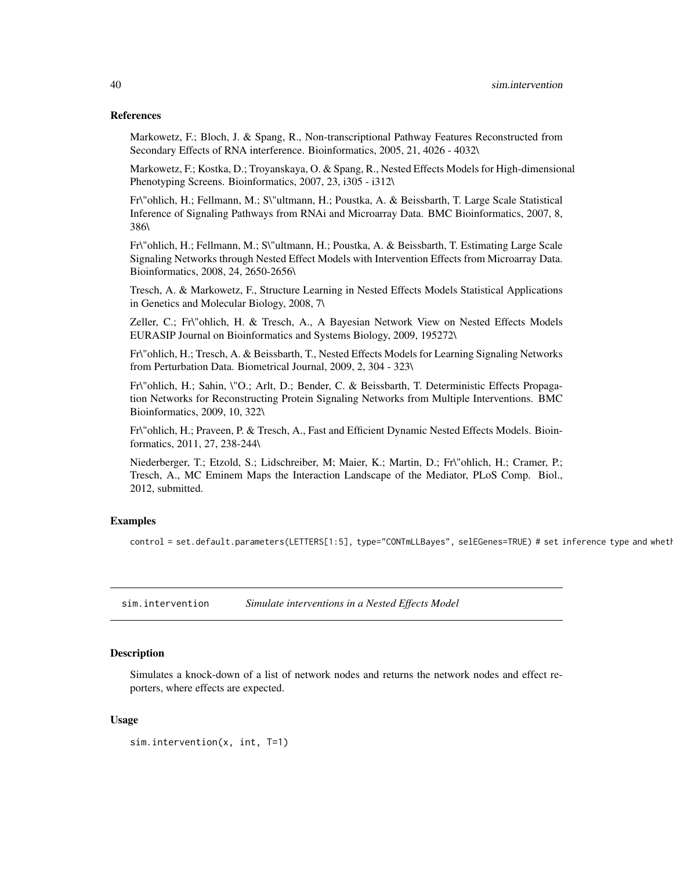#### References

Markowetz, F.; Bloch, J. & Spang, R., Non-transcriptional Pathway Features Reconstructed from Secondary Effects of RNA interference. Bioinformatics, 2005, 21, 4026 - 4032\

Markowetz, F.; Kostka, D.; Troyanskaya, O. & Spang, R., Nested Effects Models for High-dimensional Phenotyping Screens. Bioinformatics, 2007, 23, i305 - i312\

Fr\"ohlich, H.; Fellmann, M.; S\"ultmann, H.; Poustka, A. & Beissbarth, T. Large Scale Statistical Inference of Signaling Pathways from RNAi and Microarray Data. BMC Bioinformatics, 2007, 8, 386\

Fr\"ohlich, H.; Fellmann, M.; S\"ultmann, H.; Poustka, A. & Beissbarth, T. Estimating Large Scale Signaling Networks through Nested Effect Models with Intervention Effects from Microarray Data. Bioinformatics, 2008, 24, 2650-2656\

Tresch, A. & Markowetz, F., Structure Learning in Nested Effects Models Statistical Applications in Genetics and Molecular Biology, 2008, 7\

Zeller, C.; Fr\"ohlich, H. & Tresch, A., A Bayesian Network View on Nested Effects Models EURASIP Journal on Bioinformatics and Systems Biology, 2009, 195272\

Fr\"ohlich, H.; Tresch, A. & Beissbarth, T., Nested Effects Models for Learning Signaling Networks from Perturbation Data. Biometrical Journal, 2009, 2, 304 - 323\

Fr\"ohlich, H.; Sahin, \"O.; Arlt, D.; Bender, C. & Beissbarth, T. Deterministic Effects Propagation Networks for Reconstructing Protein Signaling Networks from Multiple Interventions. BMC Bioinformatics, 2009, 10, 322\

Fr\"ohlich, H.; Praveen, P. & Tresch, A., Fast and Efficient Dynamic Nested Effects Models. Bioinformatics, 2011, 27, 238-244\

Niederberger, T.; Etzold, S.; Lidschreiber, M; Maier, K.; Martin, D.; Fr\"ohlich, H.; Cramer, P.; Tresch, A., MC Eminem Maps the Interaction Landscape of the Mediator, PLoS Comp. Biol., 2012, submitted.

#### Examples

control = set.default.parameters(LETTERS[1:5], type="CONTmLLBayes", selEGenes=TRUE) # set inference type and wheth

sim.intervention *Simulate interventions in a Nested Effects Model*

#### Description

Simulates a knock-down of a list of network nodes and returns the network nodes and effect reporters, where effects are expected.

#### Usage

```
sim.intervention(x, int, T=1)
```
<span id="page-39-0"></span>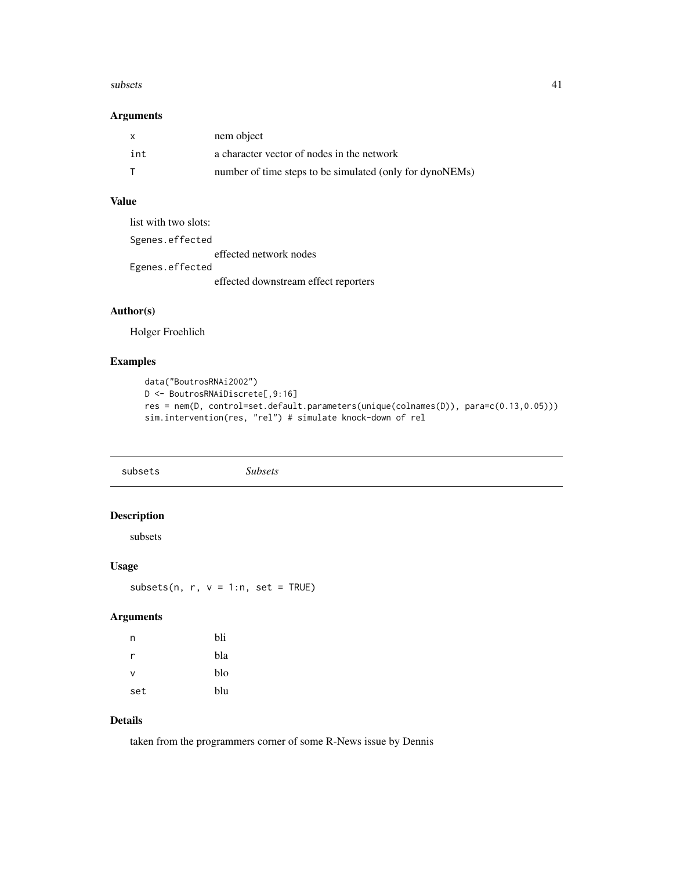#### <span id="page-40-0"></span> $\mathbf{s}$ ubsets  $\mathbf{41}$

### Arguments

| $\mathsf{x}$ | nem object                                               |
|--------------|----------------------------------------------------------|
| int          | a character vector of nodes in the network               |
|              | number of time steps to be simulated (only for dynoNEMs) |

### Value

| list with two slots: |                                      |
|----------------------|--------------------------------------|
| Sgenes.effected      |                                      |
|                      | effected network nodes               |
| Egenes.effected      |                                      |
|                      | effected downstream effect reporters |

### Author(s)

Holger Froehlich

### Examples

```
data("BoutrosRNAi2002")
D <- BoutrosRNAiDiscrete[,9:16]
res = nem(D, control=set.default.parameters(unique(colnames(D)), para=c(0.13,0.05)))
sim.intervention(res, "rel") # simulate knock-down of rel
```

| subsets                       | <b>Subsets</b> |  |
|-------------------------------|----------------|--|
| <b>Description</b><br>subsets |                |  |
| <b>Usage</b>                  |                |  |

subsets(n,  $r$ ,  $v = 1:n$ , set = TRUE)

### Arguments

| n   | bli |
|-----|-----|
| r   | bla |
| V   | blo |
| set | blu |

### Details

taken from the programmers corner of some R-News issue by Dennis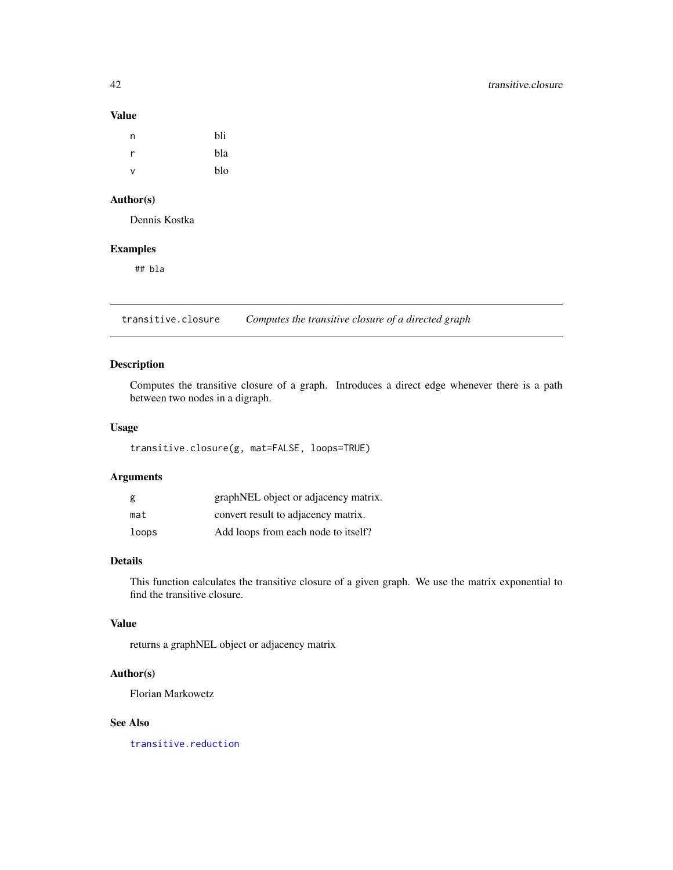#### Value

| n | bli |
|---|-----|
| r | bla |
| ν | blo |

### Author(s)

Dennis Kostka

### Examples

## bla

<span id="page-41-1"></span>transitive.closure *Computes the transitive closure of a directed graph*

### Description

Computes the transitive closure of a graph. Introduces a direct edge whenever there is a path between two nodes in a digraph.

### Usage

transitive.closure(g, mat=FALSE, loops=TRUE)

### Arguments

| g     | graphNEL object or adjacency matrix. |
|-------|--------------------------------------|
| mat   | convert result to adjacency matrix.  |
| loops | Add loops from each node to itself?  |

### Details

This function calculates the transitive closure of a given graph. We use the matrix exponential to find the transitive closure.

### Value

returns a graphNEL object or adjacency matrix

### Author(s)

Florian Markowetz

### See Also

[transitive.reduction](#page-43-1)

<span id="page-41-0"></span>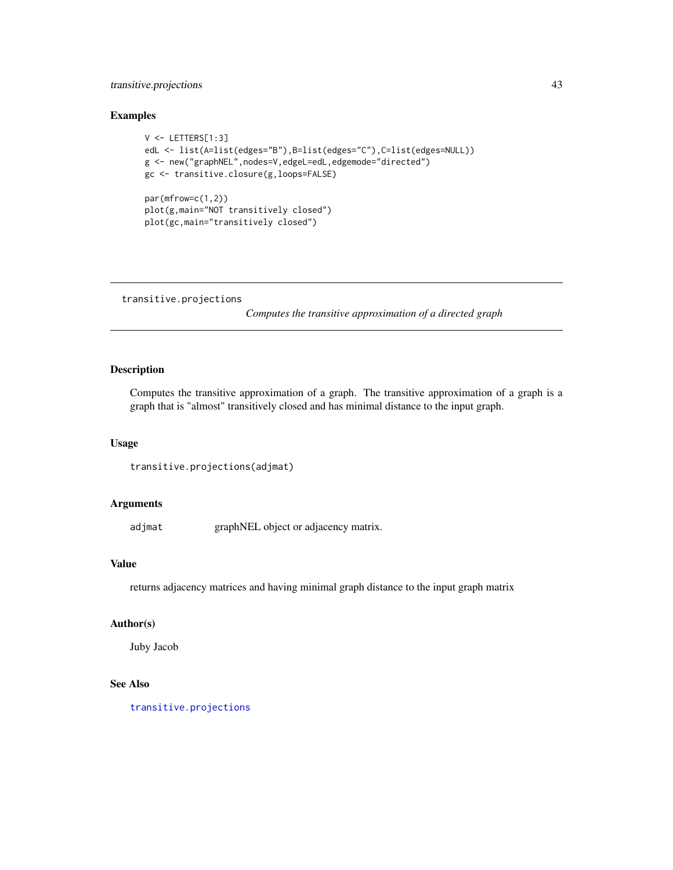### <span id="page-42-0"></span>transitive.projections 43

### Examples

```
V <- LETTERS[1:3]
edL <- list(A=list(edges="B"),B=list(edges="C"),C=list(edges=NULL))
g <- new("graphNEL",nodes=V,edgeL=edL,edgemode="directed")
gc <- transitive.closure(g,loops=FALSE)
par(mfrow=c(1,2))
plot(g,main="NOT transitively closed")
plot(gc,main="transitively closed")
```
<span id="page-42-1"></span>transitive.projections

*Computes the transitive approximation of a directed graph*

### Description

Computes the transitive approximation of a graph. The transitive approximation of a graph is a graph that is "almost" transitively closed and has minimal distance to the input graph.

#### Usage

```
transitive.projections(adjmat)
```
### Arguments

adjmat graphNEL object or adjacency matrix.

### Value

returns adjacency matrices and having minimal graph distance to the input graph matrix

### Author(s)

Juby Jacob

#### See Also

[transitive.projections](#page-42-1)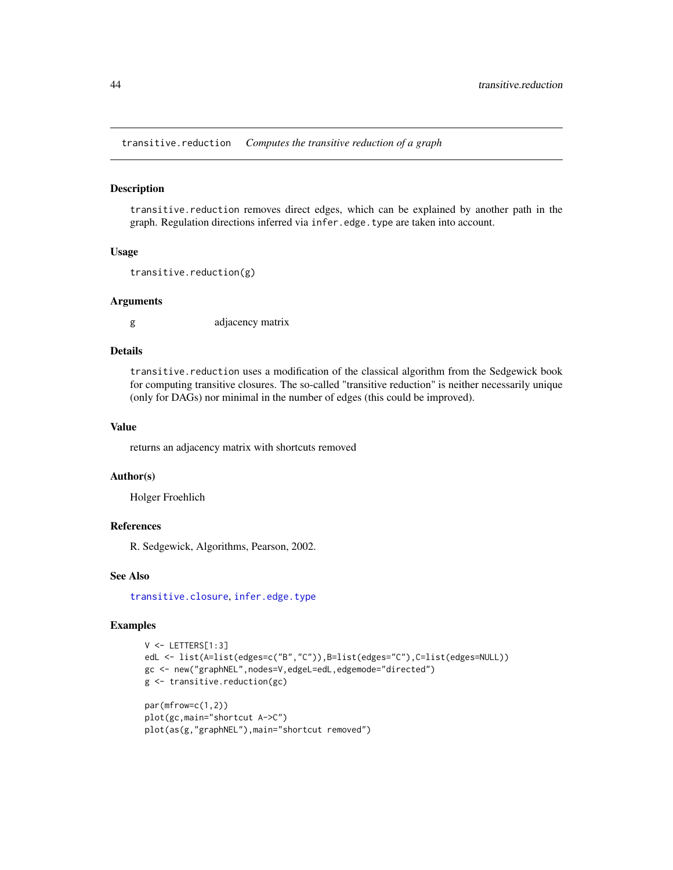<span id="page-43-1"></span><span id="page-43-0"></span>transitive.reduction *Computes the transitive reduction of a graph*

#### Description

transitive.reduction removes direct edges, which can be explained by another path in the graph. Regulation directions inferred via infer.edge.type are taken into account.

#### Usage

```
transitive.reduction(g)
```
#### Arguments

g adjacency matrix

### Details

transitive.reduction uses a modification of the classical algorithm from the Sedgewick book for computing transitive closures. The so-called "transitive reduction" is neither necessarily unique (only for DAGs) nor minimal in the number of edges (this could be improved).

### Value

returns an adjacency matrix with shortcuts removed

### Author(s)

Holger Froehlich

### References

R. Sedgewick, Algorithms, Pearson, 2002.

### See Also

[transitive.closure](#page-41-1), [infer.edge.type](#page-9-1)

#### Examples

```
V <- LETTERS[1:3]
edL <- list(A=list(edges=c("B","C")),B=list(edges="C"),C=list(edges=NULL))
gc <- new("graphNEL",nodes=V,edgeL=edL,edgemode="directed")
g <- transitive.reduction(gc)
par(mfrow=c(1,2))
plot(gc,main="shortcut A->C")
plot(as(g,"graphNEL"),main="shortcut removed")
```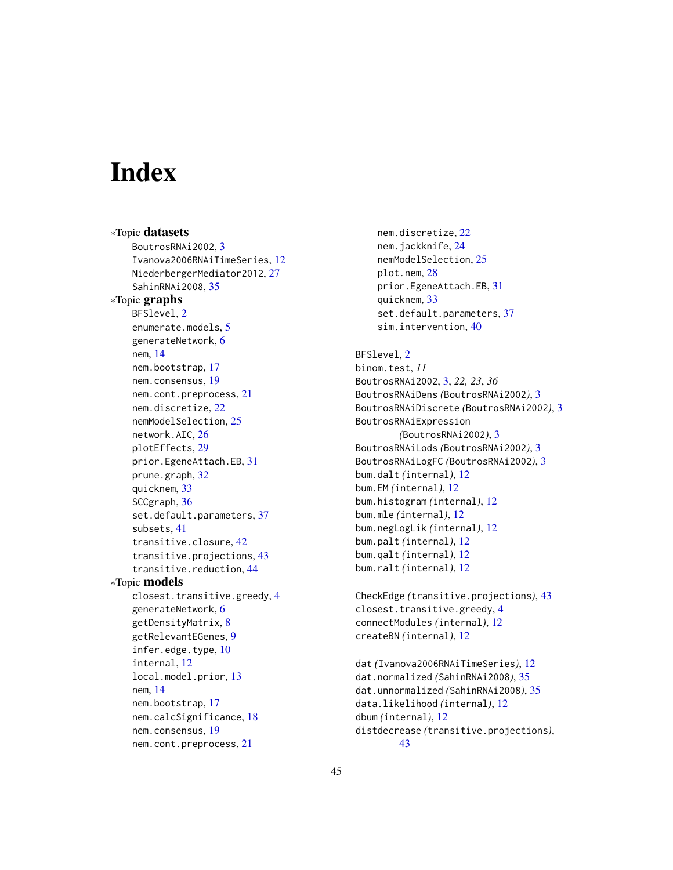# <span id="page-44-0"></span>**Index**

∗Topic datasets BoutrosRNAi2002, [3](#page-2-0) Ivanova2006RNAiTimeSeries, [12](#page-11-0) NiederbergerMediator2012, [27](#page-26-0) SahinRNAi2008, [35](#page-34-0) ∗Topic graphs BFSlevel, [2](#page-1-0) enumerate.models, [5](#page-4-0) generateNetwork, [6](#page-5-0) nem, [14](#page-13-0) nem.bootstrap, [17](#page-16-0) nem.consensus, [19](#page-18-0) nem.cont.preprocess, [21](#page-20-0) nem.discretize, [22](#page-21-0) nemModelSelection, [25](#page-24-0) network.AIC, [26](#page-25-0) plotEffects, [29](#page-28-0) prior.EgeneAttach.EB, [31](#page-30-0) prune.graph, [32](#page-31-0) quicknem, [33](#page-32-0) SCCgraph, [36](#page-35-0) set.default.parameters, [37](#page-36-0) subsets, [41](#page-40-0) transitive.closure, [42](#page-41-0) transitive.projections, [43](#page-42-0) transitive.reduction, [44](#page-43-0) ∗Topic models closest.transitive.greedy, [4](#page-3-0) generateNetwork, [6](#page-5-0) getDensityMatrix, [8](#page-7-0) getRelevantEGenes, [9](#page-8-0) infer.edge.type, [10](#page-9-0) internal, [12](#page-11-0) local.model.prior, [13](#page-12-0) nem, [14](#page-13-0) nem.bootstrap, [17](#page-16-0) nem.calcSignificance, [18](#page-17-0) nem.consensus, [19](#page-18-0) nem.cont.preprocess, [21](#page-20-0)

nem.discretize, [22](#page-21-0) nem.jackknife, [24](#page-23-0) nemModelSelection, [25](#page-24-0) plot.nem, [28](#page-27-0) prior.EgeneAttach.EB, [31](#page-30-0) quicknem, [33](#page-32-0) set.default.parameters, [37](#page-36-0) sim.intervention, [40](#page-39-0)

BFSlevel, [2](#page-1-0) binom.test, *11* BoutrosRNAi2002, [3,](#page-2-0) *22, 23*, *36* BoutrosRNAiDens *(*BoutrosRNAi2002*)*, [3](#page-2-0) BoutrosRNAiDiscrete *(*BoutrosRNAi2002*)*, [3](#page-2-0) BoutrosRNAiExpression *(*BoutrosRNAi2002*)*, [3](#page-2-0) BoutrosRNAiLods *(*BoutrosRNAi2002*)*, [3](#page-2-0) BoutrosRNAiLogFC *(*BoutrosRNAi2002*)*, [3](#page-2-0) bum.dalt *(*internal*)*, [12](#page-11-0) bum.EM *(*internal*)*, [12](#page-11-0) bum.histogram *(*internal*)*, [12](#page-11-0) bum.mle *(*internal*)*, [12](#page-11-0) bum.negLogLik *(*internal*)*, [12](#page-11-0) bum.palt *(*internal*)*, [12](#page-11-0) bum.qalt *(*internal*)*, [12](#page-11-0) bum.ralt *(*internal*)*, [12](#page-11-0)

CheckEdge *(*transitive.projections*)*, [43](#page-42-0) closest.transitive.greedy, [4](#page-3-0) connectModules *(*internal*)*, [12](#page-11-0) createBN *(*internal*)*, [12](#page-11-0)

dat *(*Ivanova2006RNAiTimeSeries*)*, [12](#page-11-0) dat.normalized *(*SahinRNAi2008*)*, [35](#page-34-0) dat.unnormalized *(*SahinRNAi2008*)*, [35](#page-34-0) data.likelihood *(*internal*)*, [12](#page-11-0) dbum *(*internal*)*, [12](#page-11-0) distdecrease *(*transitive.projections*)*, [43](#page-42-0)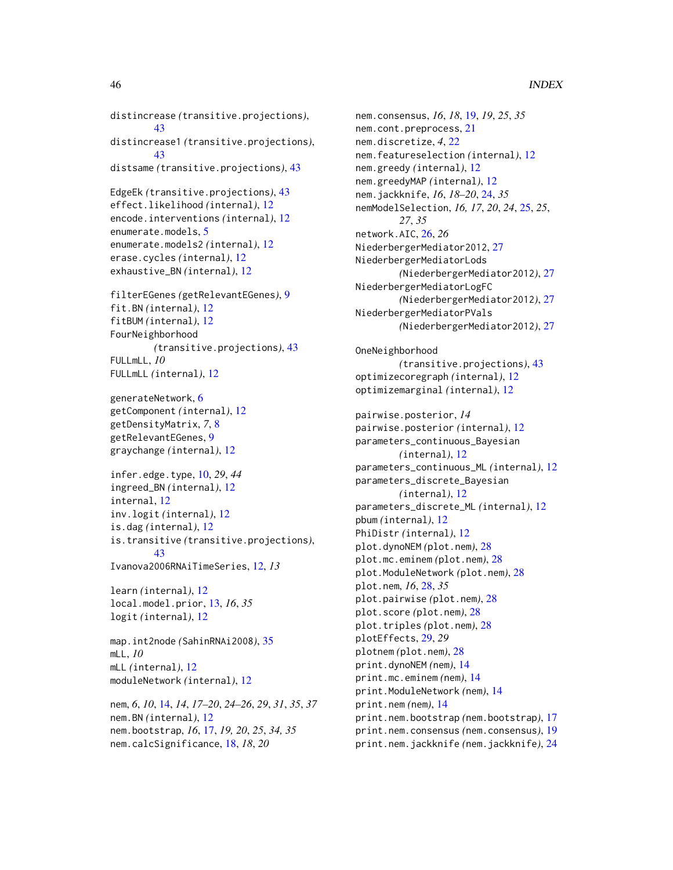distincrease *(*transitive.projections*)*, [43](#page-42-0) distincrease1 *(*transitive.projections*)*, [43](#page-42-0) distsame *(*transitive.projections*)*, [43](#page-42-0) EdgeEk *(*transitive.projections*)*, [43](#page-42-0) effect.likelihood *(*internal*)*, [12](#page-11-0) encode.interventions *(*internal*)*, [12](#page-11-0) enumerate.models, [5](#page-4-0) enumerate.models2 *(*internal*)*, [12](#page-11-0) erase.cycles *(*internal*)*, [12](#page-11-0) exhaustive\_BN *(*internal*)*, [12](#page-11-0) filterEGenes *(*getRelevantEGenes*)*, [9](#page-8-0) fit.BN *(*internal*)*, [12](#page-11-0) fitBUM *(*internal*)*, [12](#page-11-0) FourNeighborhood *(*transitive.projections*)*, [43](#page-42-0) FULLmLL, *10* FULLmLL *(*internal*)*, [12](#page-11-0) generateNetwork, [6](#page-5-0) getComponent *(*internal*)*, [12](#page-11-0) getDensityMatrix, *7*, [8](#page-7-0) getRelevantEGenes, [9](#page-8-0) graychange *(*internal*)*, [12](#page-11-0) infer.edge.type, [10,](#page-9-0) *29*, *44* ingreed\_BN *(*internal*)*, [12](#page-11-0) internal, [12](#page-11-0) inv.logit *(*internal*)*, [12](#page-11-0) is.dag *(*internal*)*, [12](#page-11-0) is.transitive *(*transitive.projections*)*, [43](#page-42-0) Ivanova2006RNAiTimeSeries, [12,](#page-11-0) *13* learn *(*internal*)*, [12](#page-11-0) local.model.prior, [13,](#page-12-0) *16*, *35* logit *(*internal*)*, [12](#page-11-0) map.int2node *(*SahinRNAi2008*)*, [35](#page-34-0) mLL, *10* mLL *(*internal*)*, [12](#page-11-0) moduleNetwork *(*internal*)*, [12](#page-11-0) nem, *6*, *10*, [14,](#page-13-0) *14*, *17–20*, *24–26*, *29*, *31*, *35*, *37* nem.BN *(*internal*)*, [12](#page-11-0) nem.bootstrap, *16*, [17,](#page-16-0) *19, 20*, *25*, *34, 35*

nem.calcSignificance, [18,](#page-17-0) *18*, *20*

```
nem.consensus, 16, 18, 19, 19, 25, 35
nem.cont.preprocess, 21
nem.discretize, 4, 22
nem.featureselection (internal), 12
nem.greedy (internal), 12
nem.greedyMAP (internal), 12
nem.jackknife, 16, 18–20, 24, 35
nemModelSelection, 16, 17, 20, 24, 25, 25,
        27, 35
network.AIC, 26, 26
NiederbergerMediator2012, 27
NiederbergerMediatorLods
        (NiederbergerMediator2012), 27
NiederbergerMediatorLogFC
        (NiederbergerMediator2012), 27
NiederbergerMediatorPVals
        (NiederbergerMediator2012), 27
OneNeighborhood
        (transitive.projections), 43
optimizecoregraph (internal), 12
optimizemarginal (internal), 12
pairwise.posterior, 14
pairwise.posterior (internal), 12
parameters_continuous_Bayesian
        (internal), 12
parameters_continuous_ML (internal), 12
parameters_discrete_Bayesian
        (internal), 12
parameters_discrete_ML (internal), 12
pbum (internal), 12
PhiDistr (internal), 12
plot.dynoNEM (plot.nem), 28
plot.mc.eminem (plot.nem), 28
plot.ModuleNetwork (plot.nem), 28
plot.nem, 16, 28, 35
plot.pairwise (plot.nem), 28
plot.score (plot.nem), 28
plot.triples (plot.nem), 28
plotEffects, 29, 29
plotnem (plot.nem), 28
print.dynoNEM (nem), 14
print.mc.eminem (nem), 14
print.ModuleNetwork (nem), 14
print.nem (nem), 14
print.nem.bootstrap (nem.bootstrap), 17
print.nem.consensus (nem.consensus), 19
print.nem.jackknife (nem.jackknife), 24
```